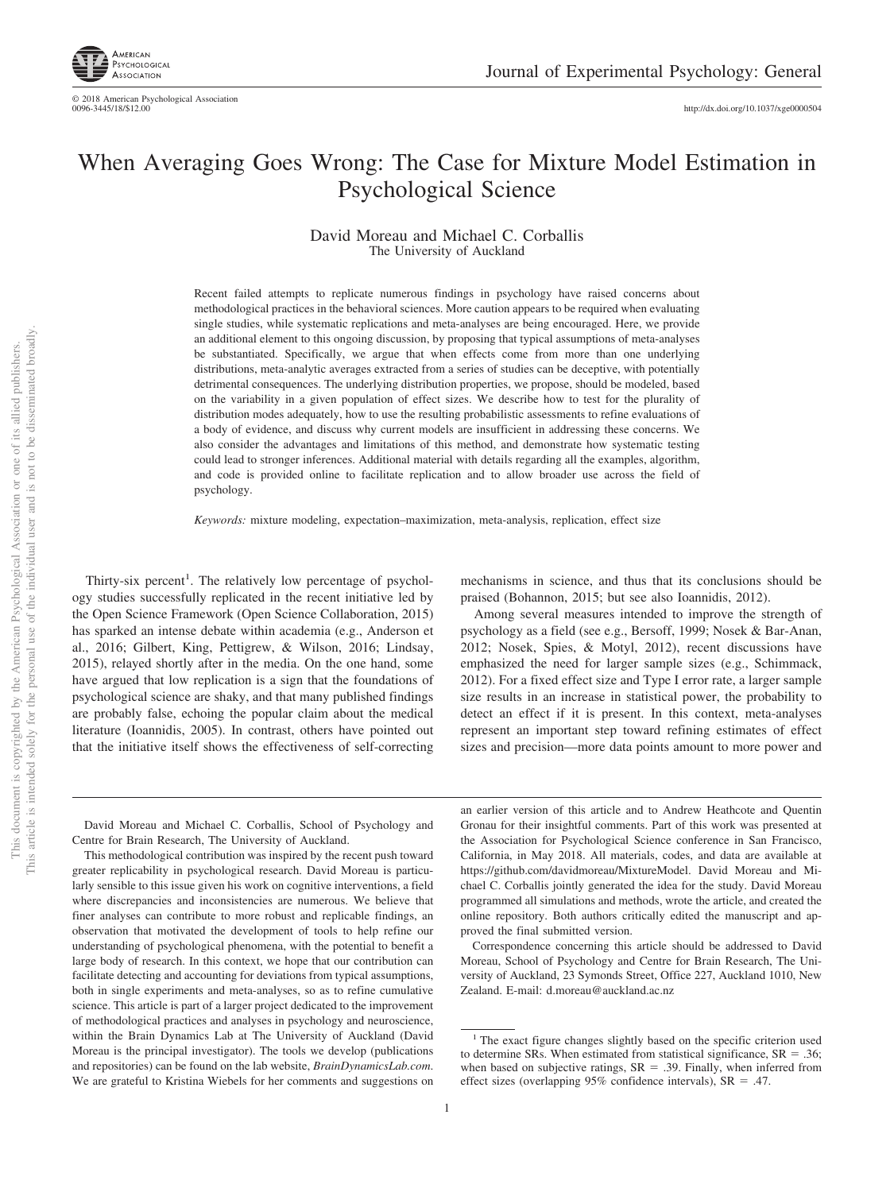

© 2018 American Psychological Association<br>0096-3445/18/\$12.00 http://dx.doi.org[/10.1037/xge0000504](http://dx.doi.org/10.1037/xge0000504)

# When Averaging Goes Wrong: The Case for Mixture Model Estimation in Psychological Science

David Moreau and Michael C. Corballis The University of Auckland

Recent failed attempts to replicate numerous findings in psychology have raised concerns about methodological practices in the behavioral sciences. More caution appears to be required when evaluating single studies, while systematic replications and meta-analyses are being encouraged. Here, we provide an additional element to this ongoing discussion, by proposing that typical assumptions of meta-analyses be substantiated. Specifically, we argue that when effects come from more than one underlying distributions, meta-analytic averages extracted from a series of studies can be deceptive, with potentially detrimental consequences. The underlying distribution properties, we propose, should be modeled, based on the variability in a given population of effect sizes. We describe how to test for the plurality of distribution modes adequately, how to use the resulting probabilistic assessments to refine evaluations of a body of evidence, and discuss why current models are insufficient in addressing these concerns. We also consider the advantages and limitations of this method, and demonstrate how systematic testing could lead to stronger inferences. Additional material with details regarding all the examples, algorithm, and code is provided online to facilitate replication and to allow broader use across the field of psychology.

*Keywords:* mixture modeling, expectation–maximization, meta-analysis, replication, effect size

Thirty-six percent<sup>1</sup>. The relatively low percentage of psychology studies successfully replicated in the recent initiative led by the Open Science Framework (Open Science Collaboration, 2015) has sparked an intense debate within academia (e.g., [Anderson et](#page-8-0) [al., 2016;](#page-8-0) Gilbert, King, Pettigrew, & Wilson, 2016; Lindsay, 2015), relayed shortly after in the media. On the one hand, some have argued that low replication is a sign that the foundations of psychological science are shaky, and that many published findings are probably false, echoing the popular claim about the medical literature (Ioannidis, 2005). In contrast, others have pointed out that the initiative itself shows the effectiveness of self-correcting

mechanisms in science, and thus that its conclusions should be praised (Bohannon, 2015; but see also Ioannidis, 2012).

Among several measures intended to improve the strength of psychology as a field (see e.g., Bersoff, 1999; Nosek & Bar-Anan, 2012; Nosek, Spies, & Motyl, 2012), recent discussions have emphasized the need for larger sample sizes (e.g., Schimmack, 2012). For a fixed effect size and Type I error rate, a larger sample size results in an increase in statistical power, the probability to detect an effect if it is present. In this context, meta-analyses represent an important step toward refining estimates of effect sizes and precision—more data points amount to more power and

David Moreau and Michael C. Corballis, School of Psychology and Centre for Brain Research, The University of Auckland.

This methodological contribution was inspired by the recent push toward greater replicability in psychological research. David Moreau is particularly sensible to this issue given his work on cognitive interventions, a field where discrepancies and inconsistencies are numerous. We believe that finer analyses can contribute to more robust and replicable findings, an observation that motivated the development of tools to help refine our understanding of psychological phenomena, with the potential to benefit a large body of research. In this context, we hope that our contribution can facilitate detecting and accounting for deviations from typical assumptions, both in single experiments and meta-analyses, so as to refine cumulative science. This article is part of a larger project dedicated to the improvement of methodological practices and analyses in psychology and neuroscience, within the Brain Dynamics Lab at The University of Auckland (David Moreau is the principal investigator). The tools we develop (publications and repositories) can be found on the lab website, *BrainDynamicsLab.com*. We are grateful to Kristina Wiebels for her comments and suggestions on an earlier version of this article and to Andrew Heathcote and Quentin Gronau for their insightful comments. Part of this work was presented at the Association for Psychological Science conference in San Francisco, California, in May 2018. All materials, codes, and data are available at [https://github.com/davidmoreau/MixtureModel.](https://github.com/davidmoreau/MixtureModel) David Moreau and Michael C. Corballis jointly generated the idea for the study. David Moreau programmed all simulations and methods, wrote the article, and created the online repository. Both authors critically edited the manuscript and approved the final submitted version.

Correspondence concerning this article should be addressed to David Moreau, School of Psychology and Centre for Brain Research, The University of Auckland, 23 Symonds Street, Office 227, Auckland 1010, New Zealand. E-mail: [d.moreau@auckland.ac.nz](mailto:d.moreau@auckland.ac.nz)

<sup>&</sup>lt;sup>1</sup> The exact figure changes slightly based on the specific criterion used to determine SRs. When estimated from statistical significance,  $SR = .36$ ; when based on subjective ratings,  $SR = .39$ . Finally, when inferred from effect sizes (overlapping  $95\%$  confidence intervals), SR = .47.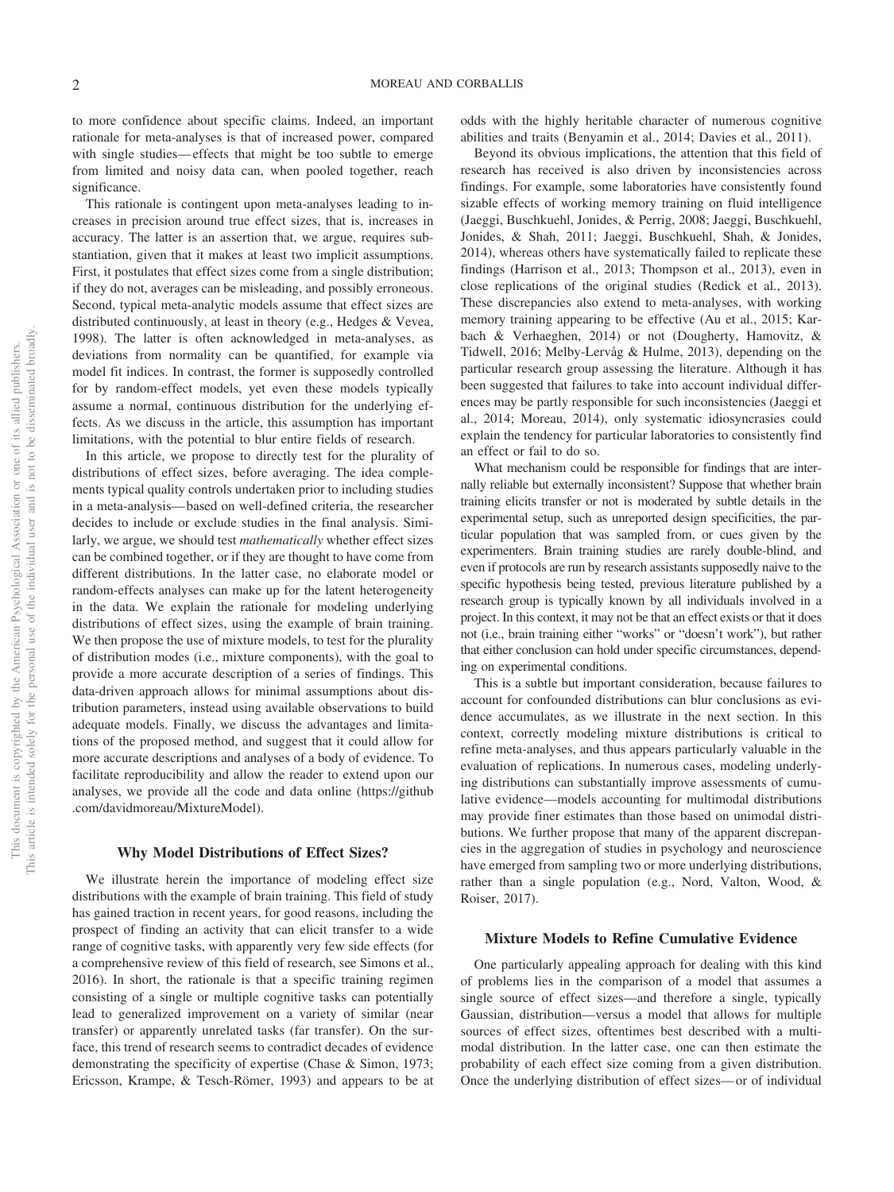to more confidence about specific claims. Indeed, an important rationale for meta-analyses is that of increased power, compared with single studies— effects that might be too subtle to emerge from limited and noisy data can, when pooled together, reach significance.

This rationale is contingent upon meta-analyses leading to increases in precision around true effect sizes, that is, increases in accuracy. The latter is an assertion that, we argue, requires substantiation, given that it makes at least two implicit assumptions. First, it postulates that effect sizes come from a single distribution; if they do not, averages can be misleading, and possibly erroneous. Second, typical meta-analytic models assume that effect sizes are distributed continuously, at least in theory (e.g., Hedges & Vevea, 1998). The latter is often acknowledged in meta-analyses, as deviations from normality can be quantified, for example via model fit indices. In contrast, the former is supposedly controlled for by random-effect models, yet even these models typically assume a normal, continuous distribution for the underlying effects. As we discuss in the article, this assumption has important limitations, with the potential to blur entire fields of research.

In this article, we propose to directly test for the plurality of distributions of effect sizes, before averaging. The idea complements typical quality controls undertaken prior to including studies in a meta-analysis— based on well-defined criteria, the researcher decides to include or exclude studies in the final analysis. Similarly, we argue, we should test *mathematically* whether effect sizes can be combined together, or if they are thought to have come from different distributions. In the latter case, no elaborate model or random-effects analyses can make up for the latent heterogeneity in the data. We explain the rationale for modeling underlying distributions of effect sizes, using the example of brain training. We then propose the use of mixture models, to test for the plurality of distribution modes (i.e., mixture components), with the goal to provide a more accurate description of a series of findings. This data-driven approach allows for minimal assumptions about distribution parameters, instead using available observations to build adequate models. Finally, we discuss the advantages and limitations of the proposed method, and suggest that it could allow for more accurate descriptions and analyses of a body of evidence. To facilitate reproducibility and allow the reader to extend upon our analyses, we provide all the code and data online [\(https://github](https://github.com/davidmoreau/MixtureModel) [.com/davidmoreau/MixtureModel\)](https://github.com/davidmoreau/MixtureModel).

#### **Why Model Distributions of Effect Sizes?**

We illustrate herein the importance of modeling effect size distributions with the example of brain training. This field of study has gained traction in recent years, for good reasons, including the prospect of finding an activity that can elicit transfer to a wide range of cognitive tasks, with apparently very few side effects (for a comprehensive review of this field of research, see [Simons et al.,](#page-10-0) [2016\)](#page-10-0). In short, the rationale is that a specific training regimen consisting of a single or multiple cognitive tasks can potentially lead to generalized improvement on a variety of similar (near transfer) or apparently unrelated tasks (far transfer). On the surface, this trend of research seems to contradict decades of evidence demonstrating the specificity of expertise (Chase & Simon, 1973; Ericsson, Krampe, & Tesch-Römer, 1993) and appears to be at odds with the highly heritable character of numerous cognitive abilities and traits (Benyamin et al., 2014; Davies et al., 2011).

Beyond its obvious implications, the attention that this field of research has received is also driven by inconsistencies across findings. For example, some laboratories have consistently found sizable effects of working memory training on fluid intelligence (Jaeggi, Buschkuehl, Jonides, & Perrig, 2008; Jaeggi, Buschkuehl, Jonides, & Shah, 2011; Jaeggi, Buschkuehl, Shah, & Jonides, 2014), whereas others have systematically failed to replicate these findings (Harrison et al., 2013; [Thompson et al., 2013\)](#page-10-1), even in close replications of the original studies (Redick et al., 2013). These discrepancies also extend to meta-analyses, with working memory training appearing to be effective [\(Au et al., 2015;](#page-8-1) Karbach & Verhaeghen, 2014) or not (Dougherty, Hamovitz, & Tidwell, 2016; Melby-Lervåg & Hulme, 2013), depending on the particular research group assessing the literature. Although it has been suggested that failures to take into account individual differences may be partly responsible for such inconsistencies (Jaeggi et al., 2014; Moreau, 2014), only systematic idiosyncrasies could explain the tendency for particular laboratories to consistently find an effect or fail to do so.

What mechanism could be responsible for findings that are internally reliable but externally inconsistent? Suppose that whether brain training elicits transfer or not is moderated by subtle details in the experimental setup, such as unreported design specificities, the particular population that was sampled from, or cues given by the experimenters. Brain training studies are rarely double-blind, and even if protocols are run by research assistants supposedly naive to the specific hypothesis being tested, previous literature published by a research group is typically known by all individuals involved in a project. In this context, it may not be that an effect exists or that it does not (i.e., brain training either "works" or "doesn't work"), but rather that either conclusion can hold under specific circumstances, depending on experimental conditions.

This is a subtle but important consideration, because failures to account for confounded distributions can blur conclusions as evidence accumulates, as we illustrate in the next section. In this context, correctly modeling mixture distributions is critical to refine meta-analyses, and thus appears particularly valuable in the evaluation of replications. In numerous cases, modeling underlying distributions can substantially improve assessments of cumulative evidence—models accounting for multimodal distributions may provide finer estimates than those based on unimodal distributions. We further propose that many of the apparent discrepancies in the aggregation of studies in psychology and neuroscience have emerged from sampling two or more underlying distributions, rather than a single population (e.g., Nord, Valton, Wood, & Roiser, 2017).

#### **Mixture Models to Refine Cumulative Evidence**

One particularly appealing approach for dealing with this kind of problems lies in the comparison of a model that assumes a single source of effect sizes—and therefore a single, typically Gaussian, distribution—versus a model that allows for multiple sources of effect sizes, oftentimes best described with a multimodal distribution. In the latter case, one can then estimate the probability of each effect size coming from a given distribution. Once the underlying distribution of effect sizes— or of individual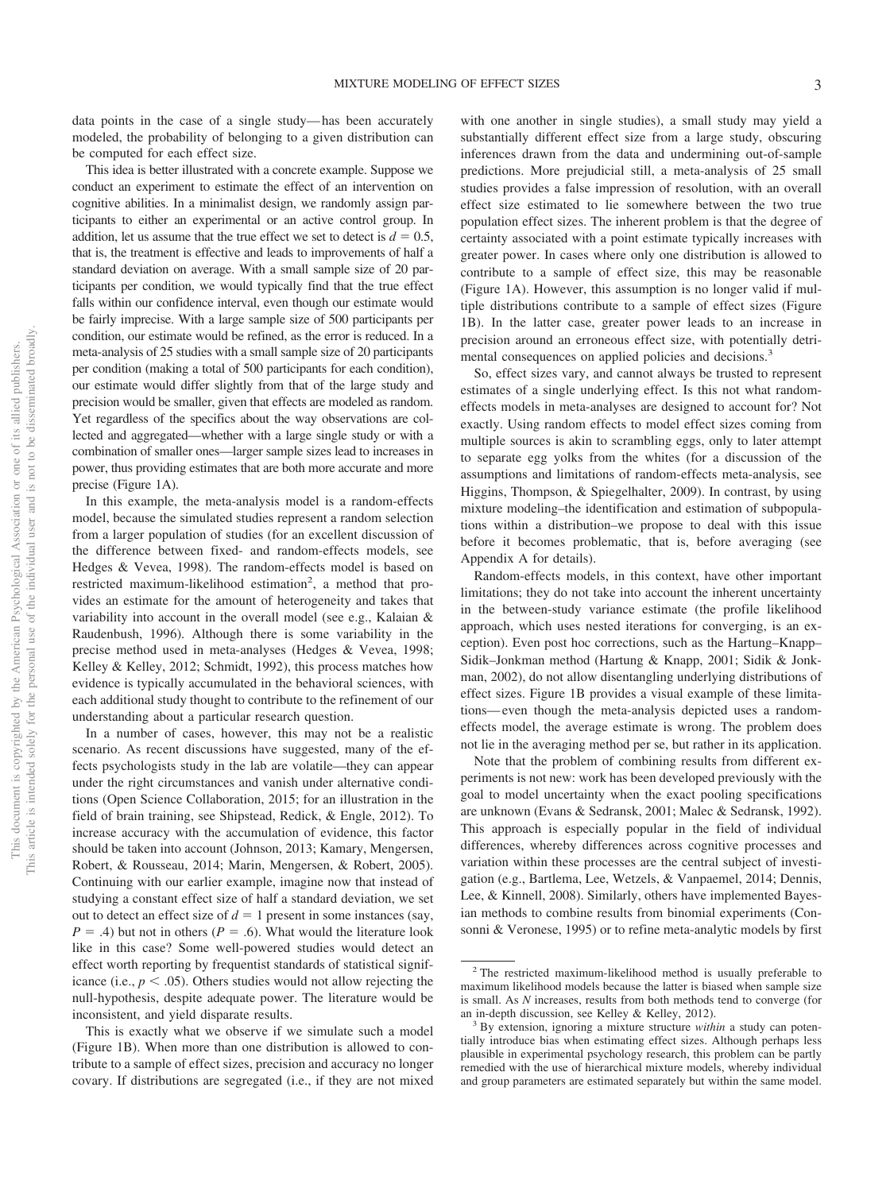data points in the case of a single study— has been accurately modeled, the probability of belonging to a given distribution can be computed for each effect size.

This idea is better illustrated with a concrete example. Suppose we conduct an experiment to estimate the effect of an intervention on cognitive abilities. In a minimalist design, we randomly assign participants to either an experimental or an active control group. In addition, let us assume that the true effect we set to detect is  $d = 0.5$ , that is, the treatment is effective and leads to improvements of half a standard deviation on average. With a small sample size of 20 participants per condition, we would typically find that the true effect falls within our confidence interval, even though our estimate would be fairly imprecise. With a large sample size of 500 participants per condition, our estimate would be refined, as the error is reduced. In a meta-analysis of 25 studies with a small sample size of 20 participants per condition (making a total of 500 participants for each condition), our estimate would differ slightly from that of the large study and precision would be smaller, given that effects are modeled as random. Yet regardless of the specifics about the way observations are collected and aggregated—whether with a large single study or with a combination of smaller ones—larger sample sizes lead to increases in power, thus providing estimates that are both more accurate and more precise (Figure 1A).

In this example, the meta-analysis model is a random-effects model, because the simulated studies represent a random selection from a larger population of studies (for an excellent discussion of the difference between fixed- and random-effects models, see Hedges & Vevea, 1998). The random-effects model is based on restricted maximum-likelihood estimation<sup>2</sup>, a method that provides an estimate for the amount of heterogeneity and takes that variability into account in the overall model (see e.g., Kalaian & Raudenbush, 1996). Although there is some variability in the precise method used in meta-analyses (Hedges & Vevea, 1998; Kelley & Kelley, 2012; Schmidt, 1992), this process matches how evidence is typically accumulated in the behavioral sciences, with each additional study thought to contribute to the refinement of our understanding about a particular research question.

In a number of cases, however, this may not be a realistic scenario. As recent discussions have suggested, many of the effects psychologists study in the lab are volatile—they can appear under the right circumstances and vanish under alternative conditions (Open Science Collaboration, 2015; for an illustration in the field of brain training, see Shipstead, Redick, & Engle, 2012). To increase accuracy with the accumulation of evidence, this factor should be taken into account (Johnson, 2013; Kamary, Mengersen, Robert, & Rousseau, 2014; Marin, Mengersen, & Robert, 2005). Continuing with our earlier example, imagine now that instead of studying a constant effect size of half a standard deviation, we set out to detect an effect size of  $d = 1$  present in some instances (say,  $P = .4$ ) but not in others ( $P = .6$ ). What would the literature look like in this case? Some well-powered studies would detect an effect worth reporting by frequentist standards of statistical significance (i.e.,  $p < .05$ ). Others studies would not allow rejecting the null-hypothesis, despite adequate power. The literature would be inconsistent, and yield disparate results.

This is exactly what we observe if we simulate such a model (Figure 1B). When more than one distribution is allowed to contribute to a sample of effect sizes, precision and accuracy no longer covary. If distributions are segregated (i.e., if they are not mixed

with one another in single studies), a small study may yield a substantially different effect size from a large study, obscuring inferences drawn from the data and undermining out-of-sample predictions. More prejudicial still, a meta-analysis of 25 small studies provides a false impression of resolution, with an overall effect size estimated to lie somewhere between the two true population effect sizes. The inherent problem is that the degree of certainty associated with a point estimate typically increases with greater power. In cases where only one distribution is allowed to contribute to a sample of effect size, this may be reasonable (Figure 1A). However, this assumption is no longer valid if multiple distributions contribute to a sample of effect sizes (Figure 1B). In the latter case, greater power leads to an increase in precision around an erroneous effect size, with potentially detrimental consequences on applied policies and decisions.<sup>3</sup>

So, effect sizes vary, and cannot always be trusted to represent estimates of a single underlying effect. Is this not what randomeffects models in meta-analyses are designed to account for? Not exactly. Using random effects to model effect sizes coming from multiple sources is akin to scrambling eggs, only to later attempt to separate egg yolks from the whites (for a discussion of the assumptions and limitations of random-effects meta-analysis, see Higgins, Thompson, & Spiegelhalter, 2009). In contrast, by using mixture modeling–the identification and estimation of subpopulations within a distribution–we propose to deal with this issue before it becomes problematic, that is, before averaging (see Appendix A for details).

Random-effects models, in this context, have other important limitations; they do not take into account the inherent uncertainty in the between-study variance estimate (the profile likelihood approach, which uses nested iterations for converging, is an exception). Even post hoc corrections, such as the Hartung–Knapp– Sidik–Jonkman method (Hartung & Knapp, 2001; Sidik & Jonkman, 2002), do not allow disentangling underlying distributions of effect sizes. Figure 1B provides a visual example of these limitations— even though the meta-analysis depicted uses a randomeffects model, the average estimate is wrong. The problem does not lie in the averaging method per se, but rather in its application.

Note that the problem of combining results from different experiments is not new: work has been developed previously with the goal to model uncertainty when the exact pooling specifications are unknown (Evans & Sedransk, 2001; Malec & Sedransk, 1992). This approach is especially popular in the field of individual differences, whereby differences across cognitive processes and variation within these processes are the central subject of investigation (e.g., Bartlema, Lee, Wetzels, & Vanpaemel, 2014; Dennis, Lee, & Kinnell, 2008). Similarly, others have implemented Bayesian methods to combine results from binomial experiments (Consonni & Veronese, 1995) or to refine meta-analytic models by first

<sup>2</sup> The restricted maximum-likelihood method is usually preferable to maximum likelihood models because the latter is biased when sample size is small. As *N* increases, results from both methods tend to converge (for an in-depth discussion, see Kelley & Kelley, 2012). <sup>3</sup> By extension, ignoring a mixture structure *within* a study can poten-

tially introduce bias when estimating effect sizes. Although perhaps less plausible in experimental psychology research, this problem can be partly remedied with the use of hierarchical mixture models, whereby individual and group parameters are estimated separately but within the same model.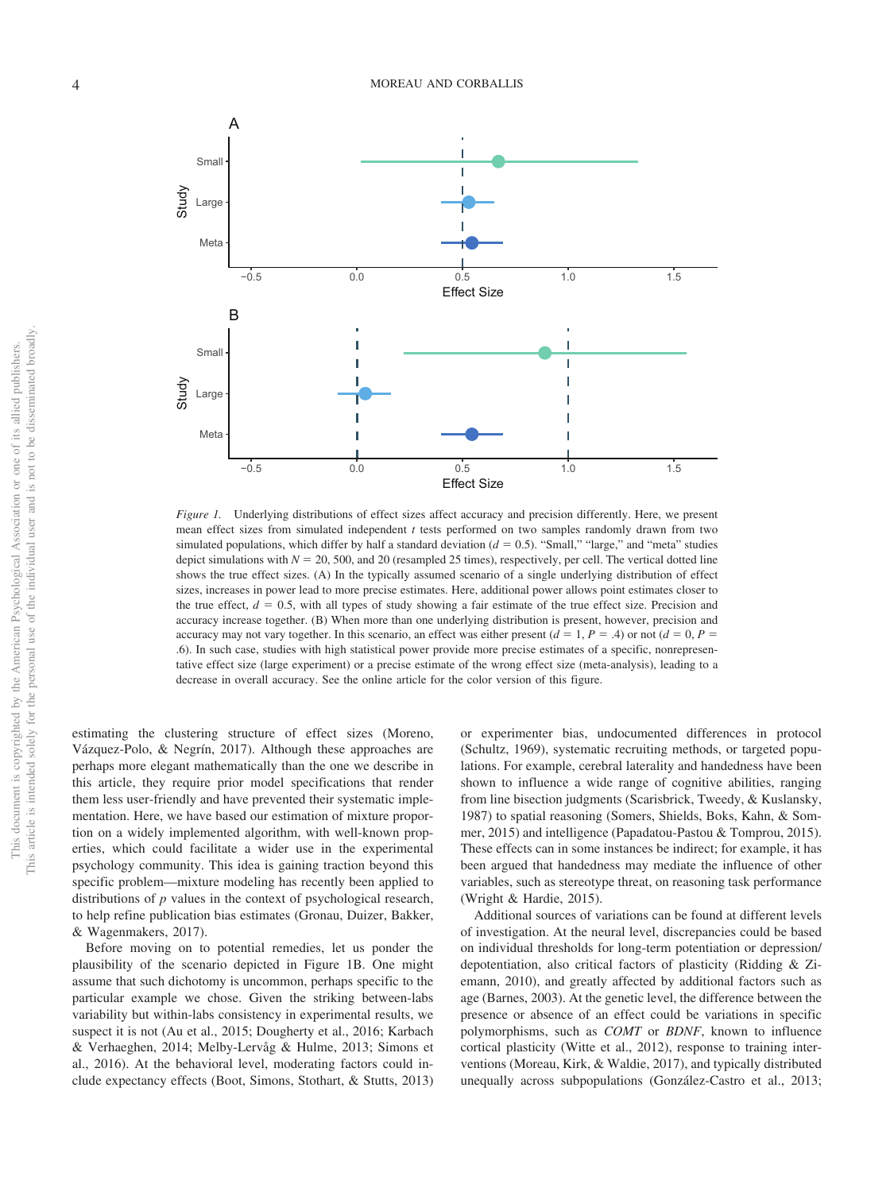This document is copyrighted by the American Psychological Association or one of its allied publishers. This article is intended solely for the personal use of the individual user and is not to be disseminated broadly.

This article is intended solely for the personal use of the individual user and is not to be disseminated broadly. This document is copyrighted by the American Psychological Association or one of its allied publishers.



*Figure 1.* Underlying distributions of effect sizes affect accuracy and precision differently. Here, we present mean effect sizes from simulated independent *t* tests performed on two samples randomly drawn from two simulated populations, which differ by half a standard deviation  $(d = 0.5)$ . "Small," "large," and "meta" studies depict simulations with  $N = 20, 500$ , and 20 (resampled 25 times), respectively, per cell. The vertical dotted line shows the true effect sizes. (A) In the typically assumed scenario of a single underlying distribution of effect sizes, increases in power lead to more precise estimates. Here, additional power allows point estimates closer to the true effect,  $d = 0.5$ , with all types of study showing a fair estimate of the true effect size. Precision and accuracy increase together. (B) When more than one underlying distribution is present, however, precision and accuracy may not vary together. In this scenario, an effect was either present  $(d = 1, P = .4)$  or not  $(d = 0, P = .4)$ .6). In such case, studies with high statistical power provide more precise estimates of a specific, nonrepresentative effect size (large experiment) or a precise estimate of the wrong effect size (meta-analysis), leading to a decrease in overall accuracy. See the online article for the color version of this figure.

estimating the clustering structure of effect sizes (Moreno, Vázquez-Polo, & Negrín, 2017). Although these approaches are perhaps more elegant mathematically than the one we describe in this article, they require prior model specifications that render them less user-friendly and have prevented their systematic implementation. Here, we have based our estimation of mixture proportion on a widely implemented algorithm, with well-known properties, which could facilitate a wider use in the experimental psychology community. This idea is gaining traction beyond this specific problem—mixture modeling has recently been applied to distributions of *p* values in the context of psychological research, to help refine publication bias estimates (Gronau, Duizer, Bakker, & Wagenmakers, 2017).

Before moving on to potential remedies, let us ponder the plausibility of the scenario depicted in Figure 1B. One might assume that such dichotomy is uncommon, perhaps specific to the particular example we chose. Given the striking between-labs variability but within-labs consistency in experimental results, we suspect it is not [\(Au et al., 2015;](#page-8-1) Dougherty et al., 2016; Karbach & Verhaeghen, 2014; Melby-Lervåg & Hulme, 2013; [Simons et](#page-10-0) [al., 2016\)](#page-10-0). At the behavioral level, moderating factors could include expectancy effects (Boot, Simons, Stothart, & Stutts, 2013) or experimenter bias, undocumented differences in protocol (Schultz, 1969), systematic recruiting methods, or targeted populations. For example, cerebral laterality and handedness have been shown to influence a wide range of cognitive abilities, ranging from line bisection judgments (Scarisbrick, Tweedy, & Kuslansky, 1987) to spatial reasoning [\(Somers, Shields, Boks, Kahn, & Som](#page-10-2)[mer, 2015\)](#page-10-2) and intelligence (Papadatou-Pastou & Tomprou, 2015). These effects can in some instances be indirect; for example, it has been argued that handedness may mediate the influence of other variables, such as stereotype threat, on reasoning task performance (Wright & Hardie, 2015).

Additional sources of variations can be found at different levels of investigation. At the neural level, discrepancies could be based on individual thresholds for long-term potentiation or depression/ depotentiation, also critical factors of plasticity (Ridding & Ziemann, 2010), and greatly affected by additional factors such as age (Barnes, 2003). At the genetic level, the difference between the presence or absence of an effect could be variations in specific polymorphisms, such as *COMT* or *BDNF*, known to influence cortical plasticity (Witte et al., 2012), response to training interventions (Moreau, Kirk, & Waldie, 2017), and typically distributed unequally across subpopulations (González-Castro et al., 2013;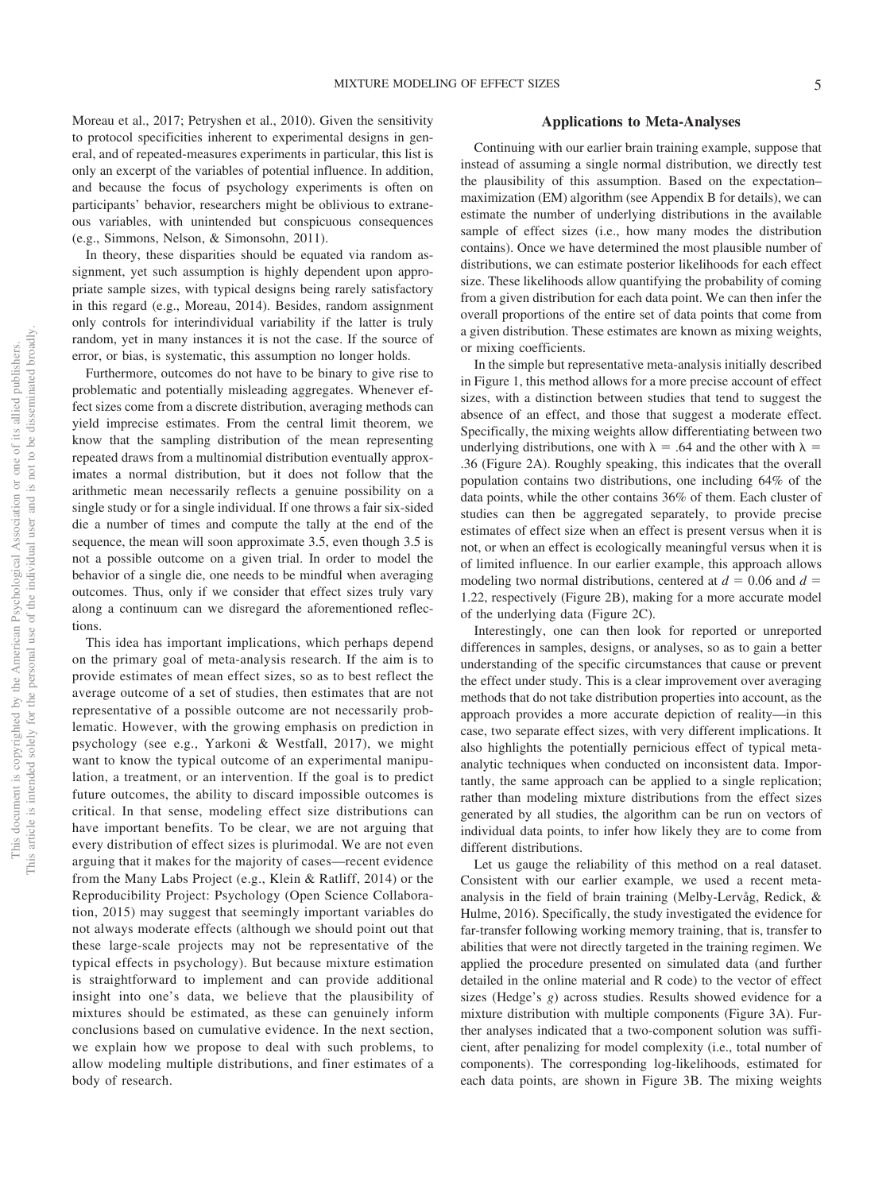Moreau et al., 2017; Petryshen et al., 2010). Given the sensitivity to protocol specificities inherent to experimental designs in general, and of repeated-measures experiments in particular, this list is only an excerpt of the variables of potential influence. In addition, and because the focus of psychology experiments is often on participants' behavior, researchers might be oblivious to extraneous variables, with unintended but conspicuous consequences (e.g., [Simmons, Nelson, & Simonsohn, 2011\)](#page-10-3).

In theory, these disparities should be equated via random assignment, yet such assumption is highly dependent upon appropriate sample sizes, with typical designs being rarely satisfactory in this regard (e.g., Moreau, 2014). Besides, random assignment only controls for interindividual variability if the latter is truly random, yet in many instances it is not the case. If the source of error, or bias, is systematic, this assumption no longer holds.

Furthermore, outcomes do not have to be binary to give rise to problematic and potentially misleading aggregates. Whenever effect sizes come from a discrete distribution, averaging methods can yield imprecise estimates. From the central limit theorem, we know that the sampling distribution of the mean representing repeated draws from a multinomial distribution eventually approximates a normal distribution, but it does not follow that the arithmetic mean necessarily reflects a genuine possibility on a single study or for a single individual. If one throws a fair six-sided die a number of times and compute the tally at the end of the sequence, the mean will soon approximate 3.5, even though 3.5 is not a possible outcome on a given trial. In order to model the behavior of a single die, one needs to be mindful when averaging outcomes. Thus, only if we consider that effect sizes truly vary along a continuum can we disregard the aforementioned reflections.

This idea has important implications, which perhaps depend on the primary goal of meta-analysis research. If the aim is to provide estimates of mean effect sizes, so as to best reflect the average outcome of a set of studies, then estimates that are not representative of a possible outcome are not necessarily problematic. However, with the growing emphasis on prediction in psychology (see e.g., Yarkoni & Westfall, 2017), we might want to know the typical outcome of an experimental manipulation, a treatment, or an intervention. If the goal is to predict future outcomes, the ability to discard impossible outcomes is critical. In that sense, modeling effect size distributions can have important benefits. To be clear, we are not arguing that every distribution of effect sizes is plurimodal. We are not even arguing that it makes for the majority of cases—recent evidence from the Many Labs Project (e.g., Klein & Ratliff, 2014) or the Reproducibility Project: Psychology (Open Science Collaboration, 2015) may suggest that seemingly important variables do not always moderate effects (although we should point out that these large-scale projects may not be representative of the typical effects in psychology). But because mixture estimation is straightforward to implement and can provide additional insight into one's data, we believe that the plausibility of mixtures should be estimated, as these can genuinely inform conclusions based on cumulative evidence. In the next section, we explain how we propose to deal with such problems, to allow modeling multiple distributions, and finer estimates of a body of research.

#### **Applications to Meta-Analyses**

Continuing with our earlier brain training example, suppose that instead of assuming a single normal distribution, we directly test the plausibility of this assumption. Based on the expectation– maximization (EM) algorithm (see Appendix B for details), we can estimate the number of underlying distributions in the available sample of effect sizes (i.e., how many modes the distribution contains). Once we have determined the most plausible number of distributions, we can estimate posterior likelihoods for each effect size. These likelihoods allow quantifying the probability of coming from a given distribution for each data point. We can then infer the overall proportions of the entire set of data points that come from a given distribution. These estimates are known as mixing weights, or mixing coefficients.

In the simple but representative meta-analysis initially described in Figure 1, this method allows for a more precise account of effect sizes, with a distinction between studies that tend to suggest the absence of an effect, and those that suggest a moderate effect. Specifically, the mixing weights allow differentiating between two underlying distributions, one with  $\lambda = .64$  and the other with  $\lambda =$ .36 (Figure 2A). Roughly speaking, this indicates that the overall population contains two distributions, one including 64% of the data points, while the other contains 36% of them. Each cluster of studies can then be aggregated separately, to provide precise estimates of effect size when an effect is present versus when it is not, or when an effect is ecologically meaningful versus when it is of limited influence. In our earlier example, this approach allows modeling two normal distributions, centered at  $d = 0.06$  and  $d =$ 1.22, respectively (Figure 2B), making for a more accurate model of the underlying data (Figure 2C).

Interestingly, one can then look for reported or unreported differences in samples, designs, or analyses, so as to gain a better understanding of the specific circumstances that cause or prevent the effect under study. This is a clear improvement over averaging methods that do not take distribution properties into account, as the approach provides a more accurate depiction of reality—in this case, two separate effect sizes, with very different implications. It also highlights the potentially pernicious effect of typical metaanalytic techniques when conducted on inconsistent data. Importantly, the same approach can be applied to a single replication; rather than modeling mixture distributions from the effect sizes generated by all studies, the algorithm can be run on vectors of individual data points, to infer how likely they are to come from different distributions.

Let us gauge the reliability of this method on a real dataset. Consistent with our earlier example, we used a recent metaanalysis in the field of brain training (Melby-Lervåg, Redick, & Hulme, 2016). Specifically, the study investigated the evidence for far-transfer following working memory training, that is, transfer to abilities that were not directly targeted in the training regimen. We applied the procedure presented on simulated data (and further detailed in the online material and R code) to the vector of effect sizes (Hedge's *g*) across studies. Results showed evidence for a mixture distribution with multiple components (Figure 3A). Further analyses indicated that a two-component solution was sufficient, after penalizing for model complexity (i.e., total number of components). The corresponding log-likelihoods, estimated for each data points, are shown in Figure 3B. The mixing weights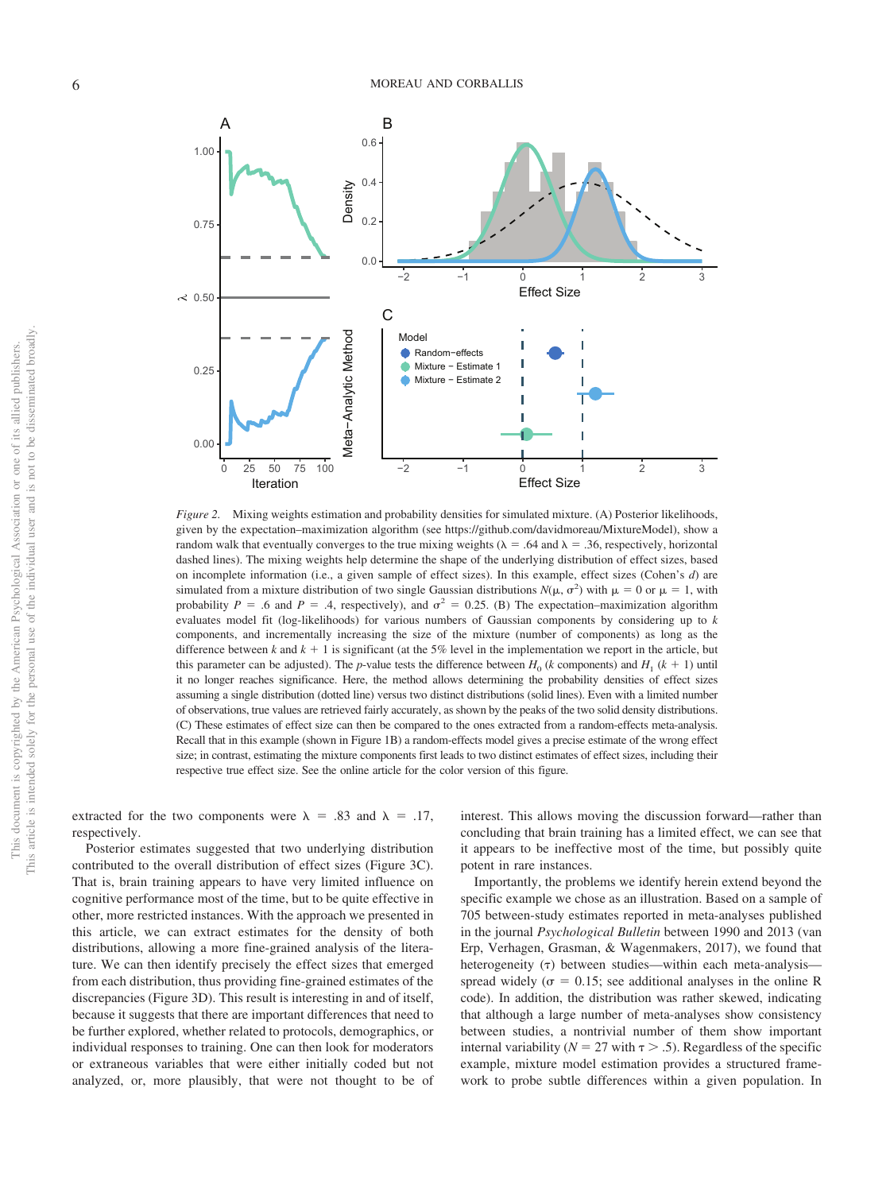

*Figure 2.* Mixing weights estimation and probability densities for simulated mixture. (A) Posterior likelihoods, given by the expectation–maximization algorithm (see [https://github.com/davidmoreau/MixtureModel\)](https://github.com/davidmoreau/MixtureModel), show a random walk that eventually converges to the true mixing weights ( $\lambda = .64$  and  $\lambda = .36$ , respectively, horizontal dashed lines). The mixing weights help determine the shape of the underlying distribution of effect sizes, based on incomplete information (i.e., a given sample of effect sizes). In this example, effect sizes (Cohen's *d*) are simulated from a mixture distribution of two single Gaussian distributions  $N(\mu, \sigma^2)$  with  $\mu = 0$  or  $\mu = 1$ , with probability  $P = .6$  and  $P = .4$ , respectively), and  $\sigma^2 = 0.25$ . (B) The expectation–maximization algorithm evaluates model fit (log-likelihoods) for various numbers of Gaussian components by considering up to *k* components, and incrementally increasing the size of the mixture (number of components) as long as the difference between  $k$  and  $k + 1$  is significant (at the 5% level in the implementation we report in the article, but this parameter can be adjusted). The *p*-value tests the difference between  $H_0$  (*k* components) and  $H_1$  ( $k + 1$ ) until it no longer reaches significance. Here, the method allows determining the probability densities of effect sizes assuming a single distribution (dotted line) versus two distinct distributions (solid lines). Even with a limited number of observations, true values are retrieved fairly accurately, as shown by the peaks of the two solid density distributions. (C) These estimates of effect size can then be compared to the ones extracted from a random-effects meta-analysis. Recall that in this example (shown in Figure 1B) a random-effects model gives a precise estimate of the wrong effect size; in contrast, estimating the mixture components first leads to two distinct estimates of effect sizes, including their respective true effect size. See the online article for the color version of this figure.

extracted for the two components were  $\lambda = .83$  and  $\lambda = .17$ , respectively.

Posterior estimates suggested that two underlying distribution contributed to the overall distribution of effect sizes (Figure 3C). That is, brain training appears to have very limited influence on cognitive performance most of the time, but to be quite effective in other, more restricted instances. With the approach we presented in this article, we can extract estimates for the density of both distributions, allowing a more fine-grained analysis of the literature. We can then identify precisely the effect sizes that emerged from each distribution, thus providing fine-grained estimates of the discrepancies (Figure 3D). This result is interesting in and of itself, because it suggests that there are important differences that need to be further explored, whether related to protocols, demographics, or individual responses to training. One can then look for moderators or extraneous variables that were either initially coded but not analyzed, or, more plausibly, that were not thought to be of interest. This allows moving the discussion forward—rather than concluding that brain training has a limited effect, we can see that it appears to be ineffective most of the time, but possibly quite potent in rare instances.

Importantly, the problems we identify herein extend beyond the specific example we chose as an illustration. Based on a sample of 705 between-study estimates reported in meta-analyses published in the journal *Psychological Bulletin* between 1990 and 2013 [\(van](#page-10-4) [Erp, Verhagen, Grasman, & Wagenmakers, 2017\)](#page-10-4), we found that heterogeneity  $(7)$  between studies—within each meta-analysis spread widely ( $\sigma = 0.15$ ; see additional analyses in the online R code). In addition, the distribution was rather skewed, indicating that although a large number of meta-analyses show consistency between studies, a nontrivial number of them show important internal variability ( $N = 27$  with  $\tau > .5$ ). Regardless of the specific example, mixture model estimation provides a structured framework to probe subtle differences within a given population. In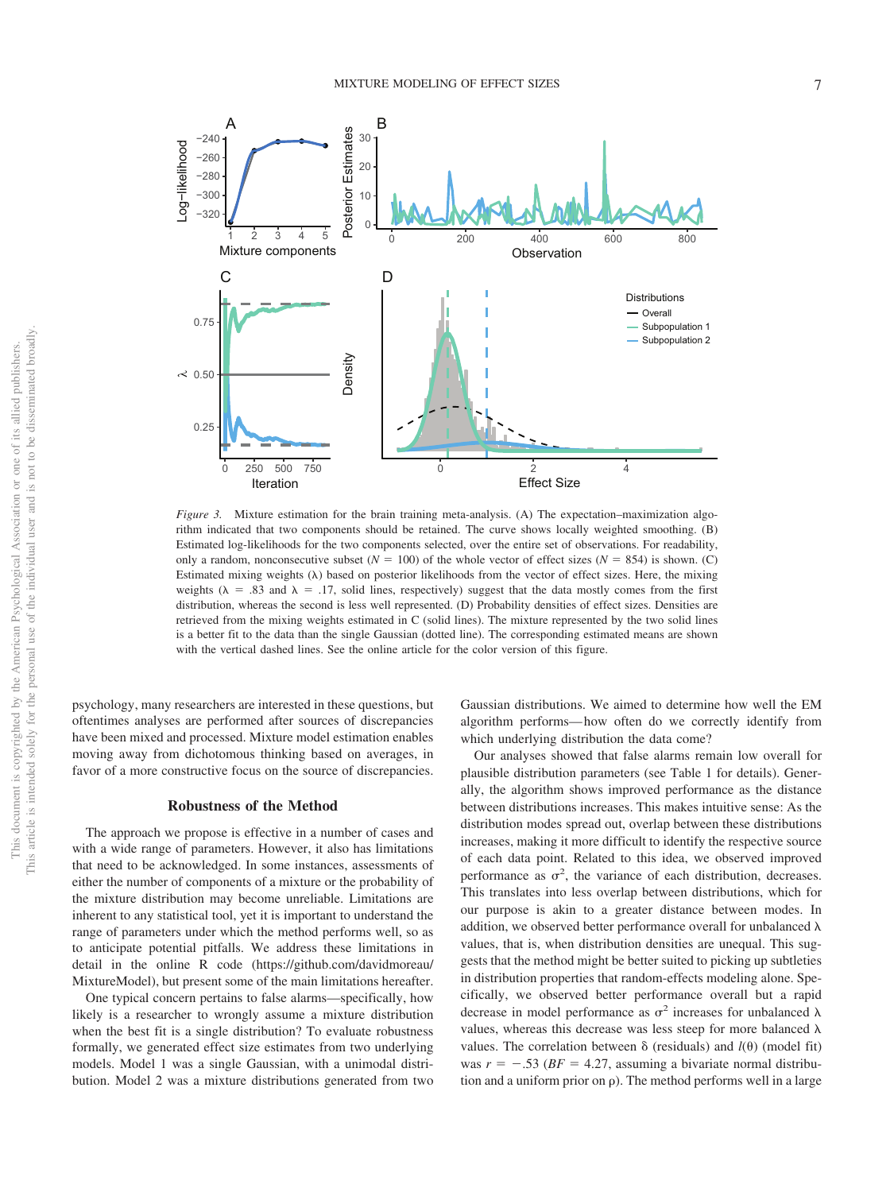

*Figure 3.* Mixture estimation for the brain training meta-analysis. (A) The expectation–maximization algorithm indicated that two components should be retained. The curve shows locally weighted smoothing. (B) Estimated log-likelihoods for the two components selected, over the entire set of observations. For readability, only a random, nonconsecutive subset  $(N = 100)$  of the whole vector of effect sizes  $(N = 854)$  is shown. (C) Estimated mixing weights  $(\lambda)$  based on posterior likelihoods from the vector of effect sizes. Here, the mixing weights ( $\lambda = .83$  and  $\lambda = .17$ , solid lines, respectively) suggest that the data mostly comes from the first distribution, whereas the second is less well represented. (D) Probability densities of effect sizes. Densities are retrieved from the mixing weights estimated in C (solid lines). The mixture represented by the two solid lines is a better fit to the data than the single Gaussian (dotted line). The corresponding estimated means are shown with the vertical dashed lines. See the online article for the color version of this figure.

psychology, many researchers are interested in these questions, but oftentimes analyses are performed after sources of discrepancies have been mixed and processed. Mixture model estimation enables moving away from dichotomous thinking based on averages, in favor of a more constructive focus on the source of discrepancies.

#### **Robustness of the Method**

The approach we propose is effective in a number of cases and with a wide range of parameters. However, it also has limitations that need to be acknowledged. In some instances, assessments of either the number of components of a mixture or the probability of the mixture distribution may become unreliable. Limitations are inherent to any statistical tool, yet it is important to understand the range of parameters under which the method performs well, so as to anticipate potential pitfalls. We address these limitations in detail in the online R code [\(https://github.com/davidmoreau/](https://github.com/davidmoreau/MixtureModel) [MixtureModel\)](https://github.com/davidmoreau/MixtureModel), but present some of the main limitations hereafter.

One typical concern pertains to false alarms—specifically, how likely is a researcher to wrongly assume a mixture distribution when the best fit is a single distribution? To evaluate robustness formally, we generated effect size estimates from two underlying models. Model 1 was a single Gaussian, with a unimodal distribution. Model 2 was a mixture distributions generated from two Gaussian distributions. We aimed to determine how well the EM algorithm performs— how often do we correctly identify from which underlying distribution the data come?

Our analyses showed that false alarms remain low overall for plausible distribution parameters (see Table 1 for details). Generally, the algorithm shows improved performance as the distance between distributions increases. This makes intuitive sense: As the distribution modes spread out, overlap between these distributions increases, making it more difficult to identify the respective source of each data point. Related to this idea, we observed improved performance as  $\sigma^2$ , the variance of each distribution, decreases. This translates into less overlap between distributions, which for our purpose is akin to a greater distance between modes. In addition, we observed better performance overall for unbalanced  $\lambda$ values, that is, when distribution densities are unequal. This suggests that the method might be better suited to picking up subtleties in distribution properties that random-effects modeling alone. Specifically, we observed better performance overall but a rapid decrease in model performance as  $\sigma^2$  increases for unbalanced  $\lambda$ values, whereas this decrease was less steep for more balanced  $\lambda$ values. The correlation between  $\delta$  (residuals) and  $l(\theta)$  (model fit) was  $r = -0.53$  ( $BF = 4.27$ , assuming a bivariate normal distribution and a uniform prior on  $\rho$ ). The method performs well in a large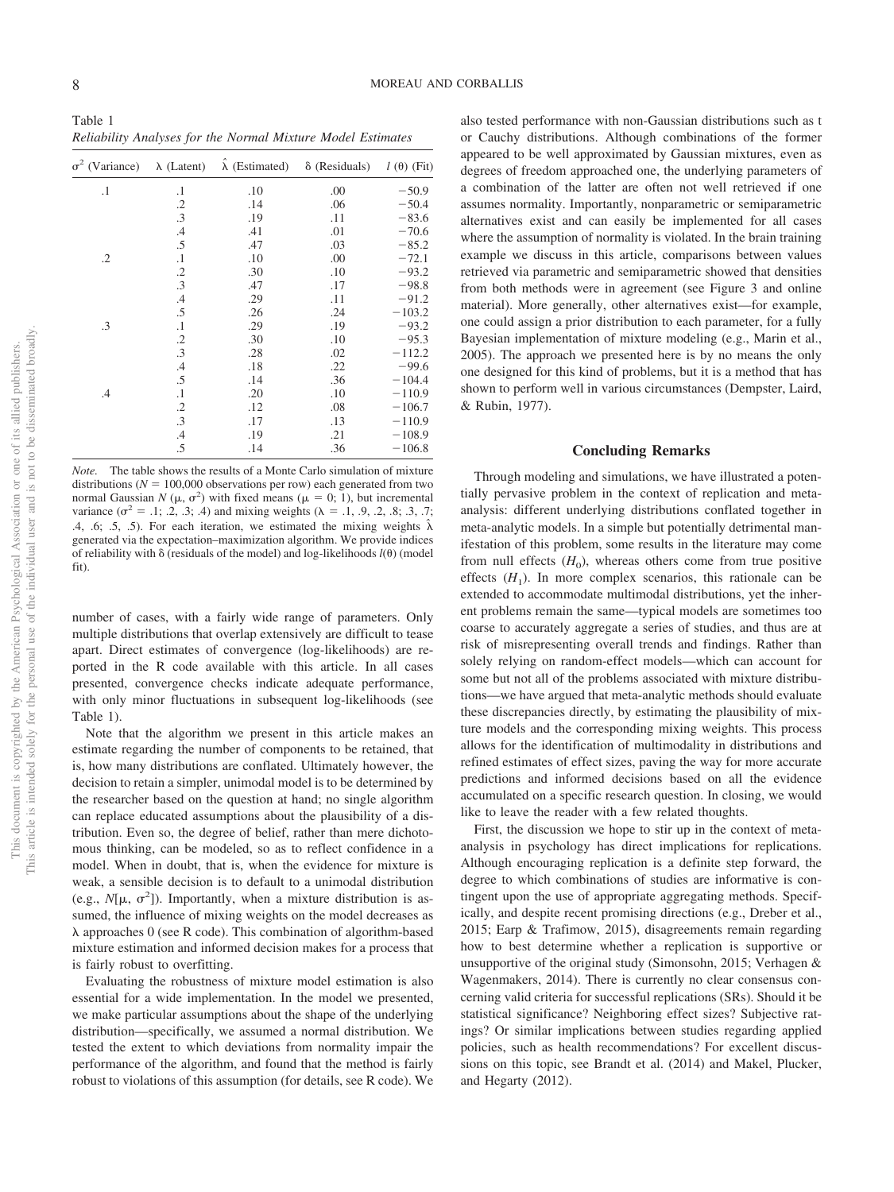Table 1 *Reliability Analyses for the Normal Mixture Model Estimates*

| $\sigma^2$ (Variance) | $\lambda$ (Latent) | $\lambda$ (Estimated) | $\delta$ (Residuals) | $l(\theta)$ (Fit) |
|-----------------------|--------------------|-----------------------|----------------------|-------------------|
| $\cdot$ 1             | $\cdot$ 1          | .10                   | .00                  | $-50.9$           |
|                       | $\cdot$            | .14                   | .06                  | $-50.4$           |
|                       | .3                 | .19                   | .11                  | $-83.6$           |
|                       | .4                 | .41                   | .01                  | $-70.6$           |
|                       | .5                 | .47                   | .03                  | $-85.2$           |
| $\cdot$               | $\cdot$            | .10                   | .00                  | $-72.1$           |
|                       | $\cdot$ .2         | .30                   | .10                  | $-93.2$           |
|                       | .3                 | .47                   | .17                  | $-98.8$           |
|                       | $\cdot$ 4          | .29                   | .11                  | $-91.2$           |
|                       | .5                 | .26                   | .24                  | $-103.2$          |
| .3                    | $\cdot$            | .29                   | .19                  | $-93.2$           |
|                       | $\cdot$ .2         | .30                   | .10                  | $-95.3$           |
|                       | .3                 | .28                   | .02                  | $-112.2$          |
|                       | .4                 | .18                   | .22                  | $-99.6$           |
|                       | .5                 | .14                   | .36                  | $-104.4$          |
| .4                    | $\cdot$ 1          | .20                   | .10                  | $-110.9$          |
|                       | $\cdot$ .2         | .12                   | .08                  | $-106.7$          |
|                       | .3                 | .17                   | .13                  | $-110.9$          |
|                       | $.4\,$             | .19                   | .21                  | $-108.9$          |
|                       | .5                 | .14                   | .36                  | $-106.8$          |

*Note.* The table shows the results of a Monte Carlo simulation of mixture distributions ( $N = 100,000$  observations per row) each generated from two normal Gaussian *N* ( $\mu$ ,  $\sigma^2$ ) with fixed means ( $\mu = 0$ ; 1), but incremental variance ( $\sigma^2$  = .1; .2, .3; .4) and mixing weights ( $\lambda$  = .1, .9, .2, .8; .3, .7; .4, .6; .5, .5). For each iteration, we estimated the mixing weights  $\hat{\lambda}$ generated via the expectation–maximization algorithm. We provide indices of reliability with  $\delta$  (residuals of the model) and log-likelihoods  $l(\theta)$  (model fit).

number of cases, with a fairly wide range of parameters. Only multiple distributions that overlap extensively are difficult to tease apart. Direct estimates of convergence (log-likelihoods) are reported in the R code available with this article. In all cases presented, convergence checks indicate adequate performance, with only minor fluctuations in subsequent log-likelihoods (see Table 1).

Note that the algorithm we present in this article makes an estimate regarding the number of components to be retained, that is, how many distributions are conflated. Ultimately however, the decision to retain a simpler, unimodal model is to be determined by the researcher based on the question at hand; no single algorithm can replace educated assumptions about the plausibility of a distribution. Even so, the degree of belief, rather than mere dichotomous thinking, can be modeled, so as to reflect confidence in a model. When in doubt, that is, when the evidence for mixture is weak, a sensible decision is to default to a unimodal distribution (e.g.,  $N[\mu, \sigma^2]$ ). Importantly, when a mixture distribution is assumed, the influence of mixing weights on the model decreases as  $\lambda$  approaches 0 (see R code). This combination of algorithm-based mixture estimation and informed decision makes for a process that is fairly robust to overfitting.

Evaluating the robustness of mixture model estimation is also essential for a wide implementation. In the model we presented, we make particular assumptions about the shape of the underlying distribution—specifically, we assumed a normal distribution. We tested the extent to which deviations from normality impair the performance of the algorithm, and found that the method is fairly robust to violations of this assumption (for details, see R code). We also tested performance with non-Gaussian distributions such as t or Cauchy distributions. Although combinations of the former appeared to be well approximated by Gaussian mixtures, even as degrees of freedom approached one, the underlying parameters of a combination of the latter are often not well retrieved if one assumes normality. Importantly, nonparametric or semiparametric alternatives exist and can easily be implemented for all cases where the assumption of normality is violated. In the brain training example we discuss in this article, comparisons between values retrieved via parametric and semiparametric showed that densities from both methods were in agreement (see Figure 3 and online material). More generally, other alternatives exist—for example, one could assign a prior distribution to each parameter, for a fully Bayesian implementation of mixture modeling (e.g., Marin et al., 2005). The approach we presented here is by no means the only one designed for this kind of problems, but it is a method that has shown to perform well in various circumstances [\(Dempster, Laird,](#page-9-0) [& Rubin, 1977\)](#page-9-0).

#### **Concluding Remarks**

Through modeling and simulations, we have illustrated a potentially pervasive problem in the context of replication and metaanalysis: different underlying distributions conflated together in meta-analytic models. In a simple but potentially detrimental manifestation of this problem, some results in the literature may come from null effects  $(H_0)$ , whereas others come from true positive effects  $(H_1)$ . In more complex scenarios, this rationale can be extended to accommodate multimodal distributions, yet the inherent problems remain the same—typical models are sometimes too coarse to accurately aggregate a series of studies, and thus are at risk of misrepresenting overall trends and findings. Rather than solely relying on random-effect models—which can account for some but not all of the problems associated with mixture distributions—we have argued that meta-analytic methods should evaluate these discrepancies directly, by estimating the plausibility of mixture models and the corresponding mixing weights. This process allows for the identification of multimodality in distributions and refined estimates of effect sizes, paving the way for more accurate predictions and informed decisions based on all the evidence accumulated on a specific research question. In closing, we would like to leave the reader with a few related thoughts.

First, the discussion we hope to stir up in the context of metaanalysis in psychology has direct implications for replications. Although encouraging replication is a definite step forward, the degree to which combinations of studies are informative is contingent upon the use of appropriate aggregating methods. Specifically, and despite recent promising directions (e.g., Dreber et al., 2015; Earp & Trafimow, 2015), disagreements remain regarding how to best determine whether a replication is supportive or unsupportive of the original study [\(Simonsohn, 2015;](#page-10-5) [Verhagen &](#page-10-6) [Wagenmakers, 2014\)](#page-10-6). There is currently no clear consensus concerning valid criteria for successful replications (SRs). Should it be statistical significance? Neighboring effect sizes? Subjective ratings? Or similar implications between studies regarding applied policies, such as health recommendations? For excellent discussions on this topic, see Brandt et al. (2014) and Makel, Plucker, and Hegarty (2012).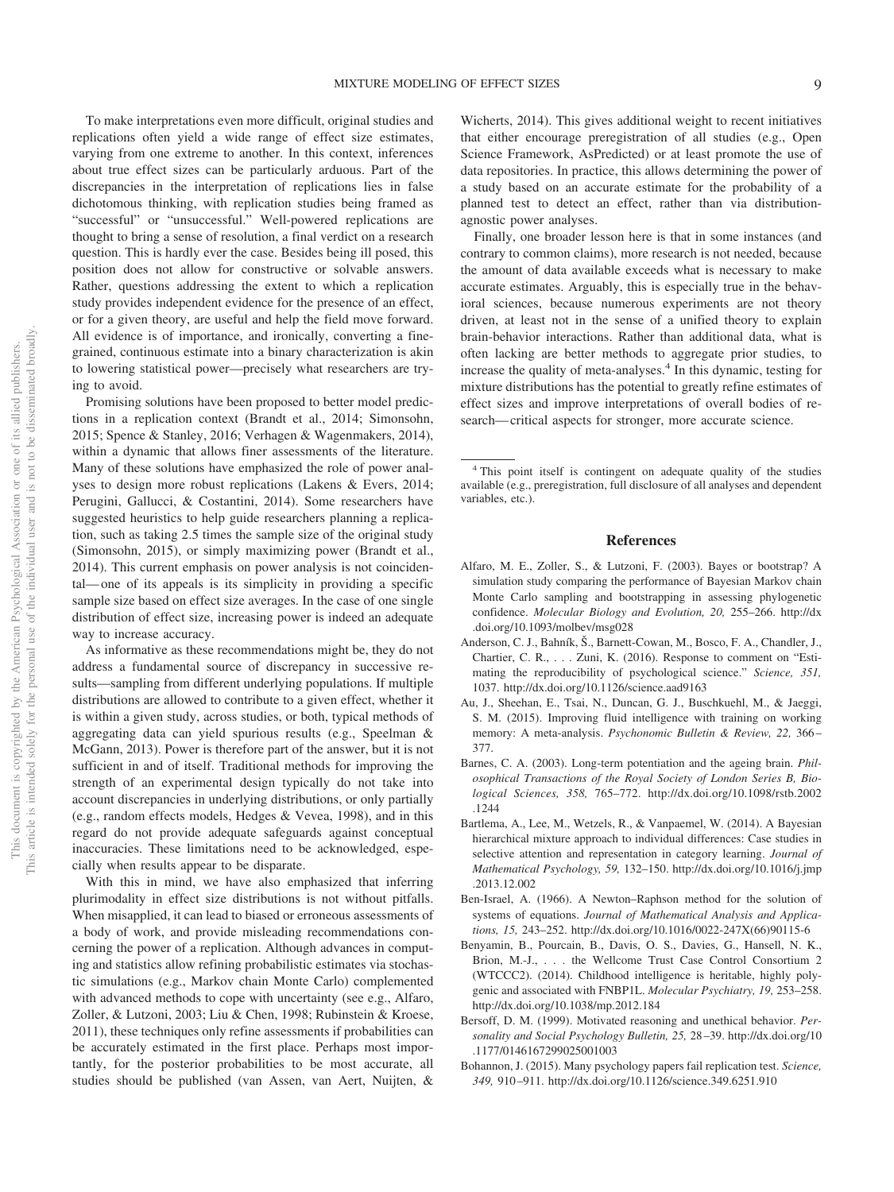To make interpretations even more difficult, original studies and replications often yield a wide range of effect size estimates, varying from one extreme to another. In this context, inferences about true effect sizes can be particularly arduous. Part of the discrepancies in the interpretation of replications lies in false dichotomous thinking, with replication studies being framed as "successful" or "unsuccessful." Well-powered replications are thought to bring a sense of resolution, a final verdict on a research question. This is hardly ever the case. Besides being ill posed, this position does not allow for constructive or solvable answers. Rather, questions addressing the extent to which a replication study provides independent evidence for the presence of an effect, or for a given theory, are useful and help the field move forward. All evidence is of importance, and ironically, converting a finegrained, continuous estimate into a binary characterization is akin to lowering statistical power—precisely what researchers are trying to avoid.

Promising solutions have been proposed to better model predictions in a replication context (Brandt et al., 2014; [Simonsohn,](#page-10-5) [2015;](#page-10-5) [Spence & Stanley, 2016;](#page-10-7) [Verhagen & Wagenmakers, 2014\)](#page-10-6), within a dynamic that allows finer assessments of the literature. Many of these solutions have emphasized the role of power analyses to design more robust replications (Lakens & Evers, 2014; Perugini, Gallucci, & Costantini, 2014). Some researchers have suggested heuristics to help guide researchers planning a replication, such as taking 2.5 times the sample size of the original study [\(Simonsohn, 2015\)](#page-10-5), or simply maximizing power (Brandt et al., 2014). This current emphasis on power analysis is not coincidental— one of its appeals is its simplicity in providing a specific sample size based on effect size averages. In the case of one single distribution of effect size, increasing power is indeed an adequate way to increase accuracy.

As informative as these recommendations might be, they do not address a fundamental source of discrepancy in successive results—sampling from different underlying populations. If multiple distributions are allowed to contribute to a given effect, whether it is within a given study, across studies, or both, typical methods of aggregating data can yield spurious results (e.g., [Speelman &](#page-10-8) [McGann, 2013\)](#page-10-8). Power is therefore part of the answer, but it is not sufficient in and of itself. Traditional methods for improving the strength of an experimental design typically do not take into account discrepancies in underlying distributions, or only partially (e.g., random effects models, Hedges & Vevea, 1998), and in this regard do not provide adequate safeguards against conceptual inaccuracies. These limitations need to be acknowledged, especially when results appear to be disparate.

With this in mind, we have also emphasized that inferring plurimodality in effect size distributions is not without pitfalls. When misapplied, it can lead to biased or erroneous assessments of a body of work, and provide misleading recommendations concerning the power of a replication. Although advances in computing and statistics allow refining probabilistic estimates via stochastic simulations (e.g., Markov chain Monte Carlo) complemented with advanced methods to cope with uncertainty (see e.g., Alfaro, Zoller, & Lutzoni, 2003; Liu & Chen, 1998; Rubinstein & Kroese, 2011), these techniques only refine assessments if probabilities can be accurately estimated in the first place. Perhaps most importantly, for the posterior probabilities to be most accurate, all studies should be published [\(van Assen, van Aert, Nuijten, &](#page-10-9)

[Wicherts, 2014\)](#page-10-9). This gives additional weight to recent initiatives that either encourage preregistration of all studies (e.g., Open Science Framework, AsPredicted) or at least promote the use of data repositories. In practice, this allows determining the power of a study based on an accurate estimate for the probability of a planned test to detect an effect, rather than via distributionagnostic power analyses.

Finally, one broader lesson here is that in some instances (and contrary to common claims), more research is not needed, because the amount of data available exceeds what is necessary to make accurate estimates. Arguably, this is especially true in the behavioral sciences, because numerous experiments are not theory driven, at least not in the sense of a unified theory to explain brain-behavior interactions. Rather than additional data, what is often lacking are better methods to aggregate prior studies, to increase the quality of meta-analyses.<sup>4</sup> In this dynamic, testing for mixture distributions has the potential to greatly refine estimates of effect sizes and improve interpretations of overall bodies of research— critical aspects for stronger, more accurate science.

#### **References**

- Alfaro, M. E., Zoller, S., & Lutzoni, F. (2003). Bayes or bootstrap? A simulation study comparing the performance of Bayesian Markov chain Monte Carlo sampling and bootstrapping in assessing phylogenetic confidence. *Molecular Biology and Evolution, 20,* 255–266. [http://dx](http://dx.doi.org/10.1093/molbev/msg028) [.doi.org/10.1093/molbev/msg028](http://dx.doi.org/10.1093/molbev/msg028)
- <span id="page-8-0"></span>Anderson, C. J., Bahník, Š., Barnett-Cowan, M., Bosco, F. A., Chandler, J., Chartier, C. R.,... Zuni, K. (2016). Response to comment on "Estimating the reproducibility of psychological science." *Science, 351,* 1037.<http://dx.doi.org/10.1126/science.aad9163>
- <span id="page-8-1"></span>Au, J., Sheehan, E., Tsai, N., Duncan, G. J., Buschkuehl, M., & Jaeggi, S. M. (2015). Improving fluid intelligence with training on working memory: A meta-analysis. *Psychonomic Bulletin & Review, 22,* 366 – 377.
- Barnes, C. A. (2003). Long-term potentiation and the ageing brain. *Philosophical Transactions of the Royal Society of London Series B, Biological Sciences, 358,* 765–772. [http://dx.doi.org/10.1098/rstb.2002](http://dx.doi.org/10.1098/rstb.2002.1244) [.1244](http://dx.doi.org/10.1098/rstb.2002.1244)
- Bartlema, A., Lee, M., Wetzels, R., & Vanpaemel, W. (2014). A Bayesian hierarchical mixture approach to individual differences: Case studies in selective attention and representation in category learning. *Journal of Mathematical Psychology, 59,* 132–150. [http://dx.doi.org/10.1016/j.jmp](http://dx.doi.org/10.1016/j.jmp.2013.12.002) [.2013.12.002](http://dx.doi.org/10.1016/j.jmp.2013.12.002)
- Ben-Israel, A. (1966). A Newton–Raphson method for the solution of systems of equations. *Journal of Mathematical Analysis and Applications, 15,* 243–252. [http://dx.doi.org/10.1016/0022-247X\(66\)90115-6](http://dx.doi.org/10.1016/0022-247X%2866%2990115-6)
- Benyamin, B., Pourcain, B., Davis, O. S., Davies, G., Hansell, N. K., Brion, M.-J., . . . the Wellcome Trust Case Control Consortium 2 (WTCCC2). (2014). Childhood intelligence is heritable, highly polygenic and associated with FNBP1L. *Molecular Psychiatry, 19,* 253–258. <http://dx.doi.org/10.1038/mp.2012.184>
- Bersoff, D. M. (1999). Motivated reasoning and unethical behavior. *Personality and Social Psychology Bulletin, 25,* 28 –39. [http://dx.doi.org/10](http://dx.doi.org/10.1177/0146167299025001003) [.1177/0146167299025001003](http://dx.doi.org/10.1177/0146167299025001003)
- Bohannon, J. (2015). Many psychology papers fail replication test. *Science, 349,* 910 –911.<http://dx.doi.org/10.1126/science.349.6251.910>

<sup>4</sup> This point itself is contingent on adequate quality of the studies available (e.g., preregistration, full disclosure of all analyses and dependent variables, etc.).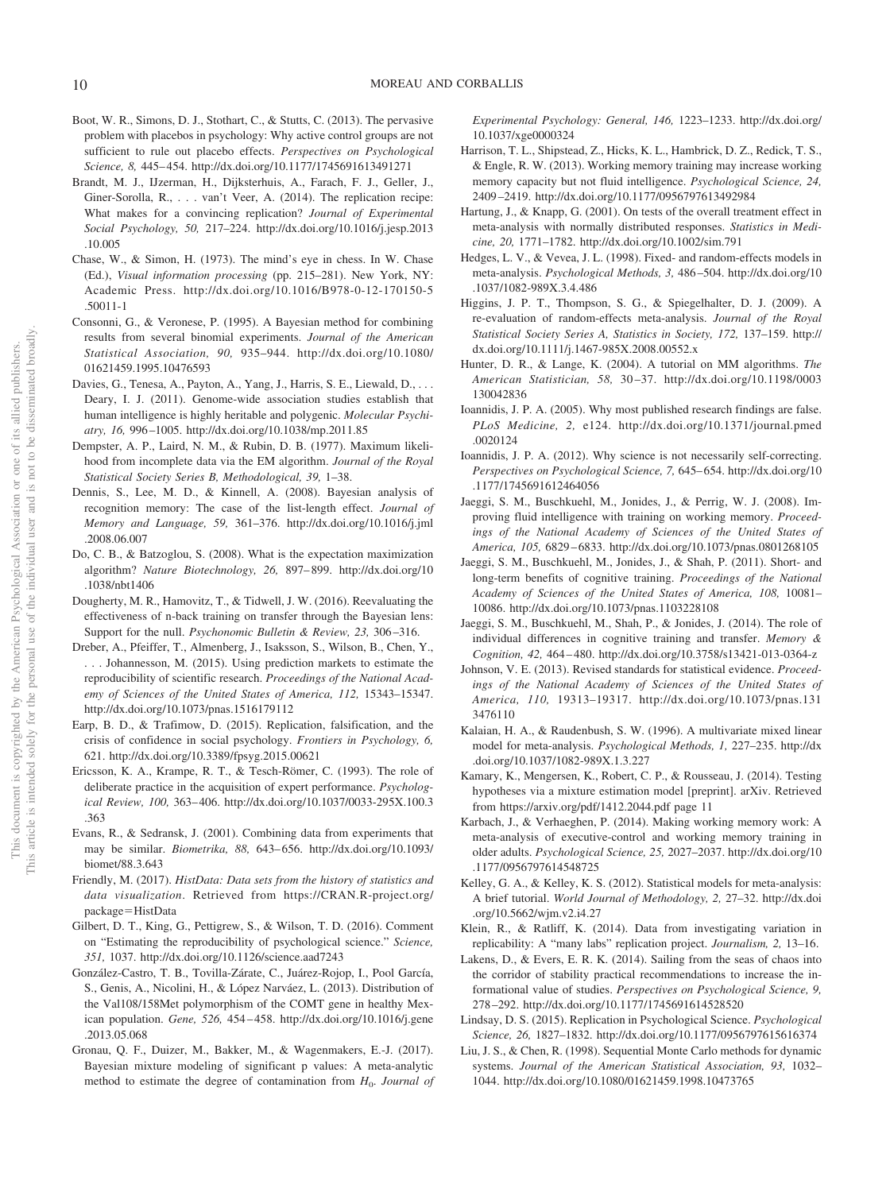- Boot, W. R., Simons, D. J., Stothart, C., & Stutts, C. (2013). The pervasive problem with placebos in psychology: Why active control groups are not sufficient to rule out placebo effects. *Perspectives on Psychological Science, 8,* 445– 454.<http://dx.doi.org/10.1177/1745691613491271>
- Brandt, M. J., IJzerman, H., Dijksterhuis, A., Farach, F. J., Geller, J., Giner-Sorolla, R.,... van't Veer, A. (2014). The replication recipe: What makes for a convincing replication? *Journal of Experimental Social Psychology, 50,* 217–224. [http://dx.doi.org/10.1016/j.jesp.2013](http://dx.doi.org/10.1016/j.jesp.2013.10.005) [.10.005](http://dx.doi.org/10.1016/j.jesp.2013.10.005)
- Chase, W., & Simon, H. (1973). The mind's eye in chess. In W. Chase (Ed.), *Visual information processing* (pp. 215–281). New York, NY: Academic Press. [http://dx.doi.org/10.1016/B978-0-12-170150-5](http://dx.doi.org/10.1016/B978-0-12-170150-5.50011-1) [.50011-1](http://dx.doi.org/10.1016/B978-0-12-170150-5.50011-1)
- Consonni, G., & Veronese, P. (1995). A Bayesian method for combining results from several binomial experiments. *Journal of the American Statistical Association, 90,* 935–944. [http://dx.doi.org/10.1080/](http://dx.doi.org/10.1080/01621459.1995.10476593) [01621459.1995.10476593](http://dx.doi.org/10.1080/01621459.1995.10476593)
- Davies, G., Tenesa, A., Payton, A., Yang, J., Harris, S. E., Liewald, D., ... Deary, I. J. (2011). Genome-wide association studies establish that human intelligence is highly heritable and polygenic. *Molecular Psychiatry, 16,* 996 –1005.<http://dx.doi.org/10.1038/mp.2011.85>
- <span id="page-9-0"></span>Dempster, A. P., Laird, N. M., & Rubin, D. B. (1977). Maximum likelihood from incomplete data via the EM algorithm. *Journal of the Royal Statistical Society Series B, Methodological, 39,* 1–38.
- Dennis, S., Lee, M. D., & Kinnell, A. (2008). Bayesian analysis of recognition memory: The case of the list-length effect. *Journal of Memory and Language, 59,* 361–376. [http://dx.doi.org/10.1016/j.jml](http://dx.doi.org/10.1016/j.jml.2008.06.007) [.2008.06.007](http://dx.doi.org/10.1016/j.jml.2008.06.007)
- Do, C. B., & Batzoglou, S. (2008). What is the expectation maximization algorithm? *Nature Biotechnology, 26,* 897– 899. [http://dx.doi.org/10](http://dx.doi.org/10.1038/nbt1406) [.1038/nbt1406](http://dx.doi.org/10.1038/nbt1406)
- Dougherty, M. R., Hamovitz, T., & Tidwell, J. W. (2016). Reevaluating the effectiveness of n-back training on transfer through the Bayesian lens: Support for the null. *Psychonomic Bulletin & Review, 23, 306-316.*
- Dreber, A., Pfeiffer, T., Almenberg, J., Isaksson, S., Wilson, B., Chen, Y., . . . Johannesson, M. (2015). Using prediction markets to estimate the reproducibility of scientific research. *Proceedings of the National Academy of Sciences of the United States of America, 112,* 15343–15347. <http://dx.doi.org/10.1073/pnas.1516179112>
- Earp, B. D., & Trafimow, D. (2015). Replication, falsification, and the crisis of confidence in social psychology. *Frontiers in Psychology, 6,* 621.<http://dx.doi.org/10.3389/fpsyg.2015.00621>
- Ericsson, K. A., Krampe, R. T., & Tesch-Römer, C. (1993). The role of deliberate practice in the acquisition of expert performance. *Psychological Review, 100,* 363– 406. [http://dx.doi.org/10.1037/0033-295X.100.3](http://dx.doi.org/10.1037/0033-295X.100.3.363) [.363](http://dx.doi.org/10.1037/0033-295X.100.3.363)
- Evans, R., & Sedransk, J. (2001). Combining data from experiments that may be similar. *Biometrika, 88,* 643– 656. [http://dx.doi.org/10.1093/](http://dx.doi.org/10.1093/biomet/88.3.643) [biomet/88.3.643](http://dx.doi.org/10.1093/biomet/88.3.643)
- Friendly, M. (2017). *HistData: Data sets from the history of statistics and data visualization*. Retrieved from [https://CRAN.R-project.org/](http://CRAN.R-project.org/package=HistData) package=[HistData](http://CRAN.R-project.org/package=HistData)
- Gilbert, D. T., King, G., Pettigrew, S., & Wilson, T. D. (2016). Comment on "Estimating the reproducibility of psychological science." *Science, 351,* 1037.<http://dx.doi.org/10.1126/science.aad7243>
- González-Castro, T. B., Tovilla-Zárate, C., Juárez-Rojop, I., Pool García, S., Genis, A., Nicolini, H., & López Narváez, L. (2013). Distribution of the Val108/158Met polymorphism of the COMT gene in healthy Mexican population. *Gene, 526,* 454 – 458. [http://dx.doi.org/10.1016/j.gene](http://dx.doi.org/10.1016/j.gene.2013.05.068) [.2013.05.068](http://dx.doi.org/10.1016/j.gene.2013.05.068)
- Gronau, Q. F., Duizer, M., Bakker, M., & Wagenmakers, E.-J. (2017). Bayesian mixture modeling of significant p values: A meta-analytic method to estimate the degree of contamination from  $H_0$ . *Journal of*

*Experimental Psychology: General, 146,* 1223–1233. [http://dx.doi.org/](http://dx.doi.org/10.1037/xge0000324) [10.1037/xge0000324](http://dx.doi.org/10.1037/xge0000324)

- Harrison, T. L., Shipstead, Z., Hicks, K. L., Hambrick, D. Z., Redick, T. S., & Engle, R. W. (2013). Working memory training may increase working memory capacity but not fluid intelligence. *Psychological Science, 24,* 2409 –2419.<http://dx.doi.org/10.1177/0956797613492984>
- Hartung, J., & Knapp, G. (2001). On tests of the overall treatment effect in meta-analysis with normally distributed responses. *Statistics in Medicine, 20,* 1771–1782.<http://dx.doi.org/10.1002/sim.791>
- Hedges, L. V., & Vevea, J. L. (1998). Fixed- and random-effects models in meta-analysis. *Psychological Methods, 3,* 486 –504. [http://dx.doi.org/10](http://dx.doi.org/10.1037/1082-989X.3.4.486) [.1037/1082-989X.3.4.486](http://dx.doi.org/10.1037/1082-989X.3.4.486)
- Higgins, J. P. T., Thompson, S. G., & Spiegelhalter, D. J. (2009). A re-evaluation of random-effects meta-analysis. *Journal of the Royal Statistical Society Series A, Statistics in Society, 172,* 137–159. [http://](http://dx.doi.org/10.1111/j.1467-985X.2008.00552.x) [dx.doi.org/10.1111/j.1467-985X.2008.00552.x](http://dx.doi.org/10.1111/j.1467-985X.2008.00552.x)
- Hunter, D. R., & Lange, K. (2004). A tutorial on MM algorithms. *The American Statistician, 58,* 30 –37. [http://dx.doi.org/10.1198/0003](http://dx.doi.org/10.1198/0003130042836) [130042836](http://dx.doi.org/10.1198/0003130042836)
- Ioannidis, J. P. A. (2005). Why most published research findings are false. *PLoS Medicine, 2,* e124. [http://dx.doi.org/10.1371/journal.pmed](http://dx.doi.org/10.1371/journal.pmed.0020124) [.0020124](http://dx.doi.org/10.1371/journal.pmed.0020124)
- Ioannidis, J. P. A. (2012). Why science is not necessarily self-correcting. *Perspectives on Psychological Science, 7,* 645– 654. [http://dx.doi.org/10](http://dx.doi.org/10.1177/1745691612464056) [.1177/1745691612464056](http://dx.doi.org/10.1177/1745691612464056)
- Jaeggi, S. M., Buschkuehl, M., Jonides, J., & Perrig, W. J. (2008). Improving fluid intelligence with training on working memory. *Proceedings of the National Academy of Sciences of the United States of America, 105,* 6829 – 6833.<http://dx.doi.org/10.1073/pnas.0801268105>
- Jaeggi, S. M., Buschkuehl, M., Jonides, J., & Shah, P. (2011). Short- and long-term benefits of cognitive training. *Proceedings of the National Academy of Sciences of the United States of America, 108,* 10081– 10086.<http://dx.doi.org/10.1073/pnas.1103228108>
- Jaeggi, S. M., Buschkuehl, M., Shah, P., & Jonides, J. (2014). The role of individual differences in cognitive training and transfer. *Memory & Cognition, 42,* 464 – 480.<http://dx.doi.org/10.3758/s13421-013-0364-z>
- Johnson, V. E. (2013). Revised standards for statistical evidence. *Proceedings of the National Academy of Sciences of the United States of America, 110,* 19313–19317. [http://dx.doi.org/10.1073/pnas.131](http://dx.doi.org/10.1073/pnas.1313476110) [3476110](http://dx.doi.org/10.1073/pnas.1313476110)
- Kalaian, H. A., & Raudenbush, S. W. (1996). A multivariate mixed linear model for meta-analysis. *Psychological Methods, 1,* 227–235. [http://dx](http://dx.doi.org/10.1037/1082-989X.1.3.227) [.doi.org/10.1037/1082-989X.1.3.227](http://dx.doi.org/10.1037/1082-989X.1.3.227)
- Kamary, K., Mengersen, K., Robert, C. P., & Rousseau, J. (2014). Testing hypotheses via a mixture estimation model [preprint]. arXiv. Retrieved from [https://arxiv.org/pdf/1412.2044.pdf page 11](https://arxiv.org/pdf/1412.2044.pdf%20page%2011.pdf)
- Karbach, J., & Verhaeghen, P. (2014). Making working memory work: A meta-analysis of executive-control and working memory training in older adults. *Psychological Science, 25,* 2027–2037. [http://dx.doi.org/10](http://dx.doi.org/10.1177/0956797614548725) [.1177/0956797614548725](http://dx.doi.org/10.1177/0956797614548725)
- Kelley, G. A., & Kelley, K. S. (2012). Statistical models for meta-analysis: A brief tutorial. *World Journal of Methodology, 2,* 27–32. [http://dx.doi](http://dx.doi.org/10.5662/wjm.v2.i4.27) [.org/10.5662/wjm.v2.i4.27](http://dx.doi.org/10.5662/wjm.v2.i4.27)
- Klein, R., & Ratliff, K. (2014). Data from investigating variation in replicability: A "many labs" replication project. *Journalism, 2,* 13–16.
- Lakens, D., & Evers, E. R. K. (2014). Sailing from the seas of chaos into the corridor of stability practical recommendations to increase the informational value of studies. *Perspectives on Psychological Science, 9,* 278 –292.<http://dx.doi.org/10.1177/1745691614528520>
- Lindsay, D. S. (2015). Replication in Psychological Science. *Psychological Science, 26,* 1827–1832.<http://dx.doi.org/10.1177/0956797615616374>
- Liu, J. S., & Chen, R. (1998). Sequential Monte Carlo methods for dynamic systems. *Journal of the American Statistical Association, 93,* 1032– 1044.<http://dx.doi.org/10.1080/01621459.1998.10473765>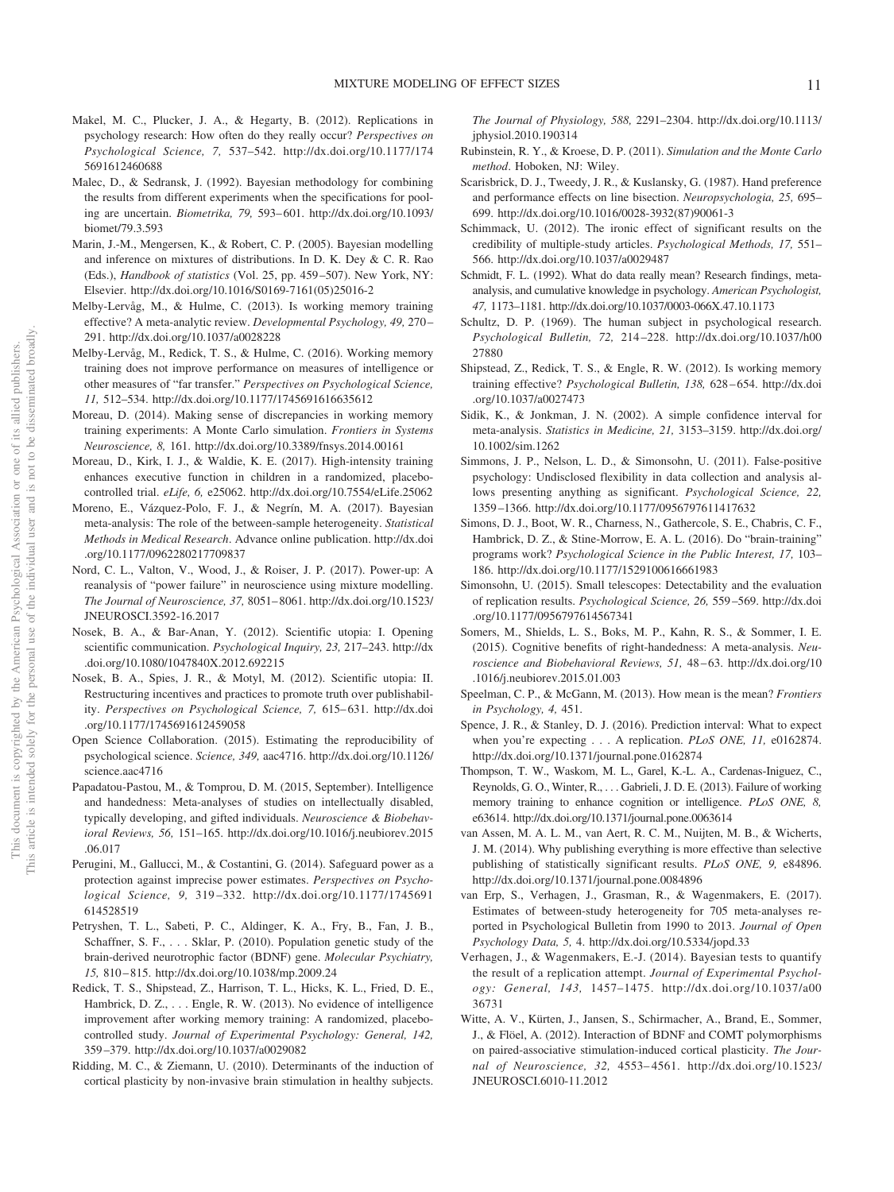- Makel, M. C., Plucker, J. A., & Hegarty, B. (2012). Replications in psychology research: How often do they really occur? *Perspectives on Psychological Science, 7,* 537–542. [http://dx.doi.org/10.1177/174](http://dx.doi.org/10.1177/1745691612460688) [5691612460688](http://dx.doi.org/10.1177/1745691612460688)
- Malec, D., & Sedransk, J. (1992). Bayesian methodology for combining the results from different experiments when the specifications for pooling are uncertain. *Biometrika, 79,* 593– 601. [http://dx.doi.org/10.1093/](http://dx.doi.org/10.1093/biomet/79.3.593) [biomet/79.3.593](http://dx.doi.org/10.1093/biomet/79.3.593)
- Marin, J.-M., Mengersen, K., & Robert, C. P. (2005). Bayesian modelling and inference on mixtures of distributions. In D. K. Dey & C. R. Rao (Eds.), *Handbook of statistics* (Vol. 25, pp. 459 –507). New York, NY: Elsevier. [http://dx.doi.org/10.1016/S0169-7161\(05\)25016-2](http://dx.doi.org/10.1016/S0169-7161%2805%2925016-2)
- Melby-Lervåg, M., & Hulme, C. (2013). Is working memory training effective? A meta-analytic review. *Developmental Psychology, 49,* 270 – 291.<http://dx.doi.org/10.1037/a0028228>
- Melby-Lervåg, M., Redick, T. S., & Hulme, C. (2016). Working memory training does not improve performance on measures of intelligence or other measures of "far transfer." *Perspectives on Psychological Science, 11,* 512–534.<http://dx.doi.org/10.1177/1745691616635612>
- Moreau, D. (2014). Making sense of discrepancies in working memory training experiments: A Monte Carlo simulation. *Frontiers in Systems Neuroscience, 8,* 161.<http://dx.doi.org/10.3389/fnsys.2014.00161>
- Moreau, D., Kirk, I. J., & Waldie, K. E. (2017). High-intensity training enhances executive function in children in a randomized, placebocontrolled trial. *eLife, 6,* e25062.<http://dx.doi.org/10.7554/eLife.25062>
- Moreno, E., Vázquez-Polo, F. J., & Negrín, M. A. (2017). Bayesian meta-analysis: The role of the between-sample heterogeneity. *Statistical Methods in Medical Research*. Advance online publication. [http://dx.doi](http://dx.doi.org/10.1177/0962280217709837) [.org/10.1177/0962280217709837](http://dx.doi.org/10.1177/0962280217709837)
- Nord, C. L., Valton, V., Wood, J., & Roiser, J. P. (2017). Power-up: A reanalysis of "power failure" in neuroscience using mixture modelling. *The Journal of Neuroscience, 37,* 8051– 8061. [http://dx.doi.org/10.1523/](http://dx.doi.org/10.1523/JNEUROSCI.3592-16.2017) [JNEUROSCI.3592-16.2017](http://dx.doi.org/10.1523/JNEUROSCI.3592-16.2017)
- Nosek, B. A., & Bar-Anan, Y. (2012). Scientific utopia: I. Opening scientific communication. *Psychological Inquiry, 23,* 217–243. [http://dx](http://dx.doi.org/10.1080/1047840X.2012.692215) [.doi.org/10.1080/1047840X.2012.692215](http://dx.doi.org/10.1080/1047840X.2012.692215)
- Nosek, B. A., Spies, J. R., & Motyl, M. (2012). Scientific utopia: II. Restructuring incentives and practices to promote truth over publishability. *Perspectives on Psychological Science, 7,* 615– 631. [http://dx.doi](http://dx.doi.org/10.1177/1745691612459058) [.org/10.1177/1745691612459058](http://dx.doi.org/10.1177/1745691612459058)
- Open Science Collaboration. (2015). Estimating the reproducibility of psychological science. *Science, 349,* aac4716. [http://dx.doi.org/10.1126/](http://dx.doi.org/10.1126/science.aac4716) [science.aac4716](http://dx.doi.org/10.1126/science.aac4716)
- Papadatou-Pastou, M., & Tomprou, D. M. (2015, September). Intelligence and handedness: Meta-analyses of studies on intellectually disabled, typically developing, and gifted individuals. *Neuroscience & Biobehavioral Reviews, 56,* 151–165. [http://dx.doi.org/10.1016/j.neubiorev.2015](http://dx.doi.org/10.1016/j.neubiorev.2015.06.017) [.06.017](http://dx.doi.org/10.1016/j.neubiorev.2015.06.017)
- Perugini, M., Gallucci, M., & Costantini, G. (2014). Safeguard power as a protection against imprecise power estimates. *Perspectives on Psychological Science, 9,* 319 –332. [http://dx.doi.org/10.1177/1745691](http://dx.doi.org/10.1177/1745691614528519) [614528519](http://dx.doi.org/10.1177/1745691614528519)
- Petryshen, T. L., Sabeti, P. C., Aldinger, K. A., Fry, B., Fan, J. B., Schaffner, S. F., . . . Sklar, P. (2010). Population genetic study of the brain-derived neurotrophic factor (BDNF) gene. *Molecular Psychiatry, 15,* 810 – 815.<http://dx.doi.org/10.1038/mp.2009.24>
- Redick, T. S., Shipstead, Z., Harrison, T. L., Hicks, K. L., Fried, D. E., Hambrick, D. Z.,... Engle, R. W. (2013). No evidence of intelligence improvement after working memory training: A randomized, placebocontrolled study. *Journal of Experimental Psychology: General, 142,* 359 –379.<http://dx.doi.org/10.1037/a0029082>
- Ridding, M. C., & Ziemann, U. (2010). Determinants of the induction of cortical plasticity by non-invasive brain stimulation in healthy subjects.

*The Journal of Physiology, 588,* 2291–2304. [http://dx.doi.org/10.1113/](http://dx.doi.org/10.1113/jphysiol.2010.190314) [jphysiol.2010.190314](http://dx.doi.org/10.1113/jphysiol.2010.190314)

- Rubinstein, R. Y., & Kroese, D. P. (2011). *Simulation and the Monte Carlo method*. Hoboken, NJ: Wiley.
- Scarisbrick, D. J., Tweedy, J. R., & Kuslansky, G. (1987). Hand preference and performance effects on line bisection. *Neuropsychologia, 25,* 695– 699. [http://dx.doi.org/10.1016/0028-3932\(87\)90061-3](http://dx.doi.org/10.1016/0028-3932%2887%2990061-3)
- Schimmack, U. (2012). The ironic effect of significant results on the credibility of multiple-study articles. *Psychological Methods, 17,* 551– 566.<http://dx.doi.org/10.1037/a0029487>
- Schmidt, F. L. (1992). What do data really mean? Research findings, metaanalysis, and cumulative knowledge in psychology. *American Psychologist, 47,* 1173–1181.<http://dx.doi.org/10.1037/0003-066X.47.10.1173>
- Schultz, D. P. (1969). The human subject in psychological research. *Psychological Bulletin, 72,* 214 –228. [http://dx.doi.org/10.1037/h00](http://dx.doi.org/10.1037/h0027880) [27880](http://dx.doi.org/10.1037/h0027880)
- Shipstead, Z., Redick, T. S., & Engle, R. W. (2012). Is working memory training effective? *Psychological Bulletin, 138,* 628 – 654. [http://dx.doi](http://dx.doi.org/10.1037/a0027473) [.org/10.1037/a0027473](http://dx.doi.org/10.1037/a0027473)
- Sidik, K., & Jonkman, J. N. (2002). A simple confidence interval for meta-analysis. *Statistics in Medicine, 21,* 3153–3159. [http://dx.doi.org/](http://dx.doi.org/10.1002/sim.1262) [10.1002/sim.1262](http://dx.doi.org/10.1002/sim.1262)
- <span id="page-10-3"></span>Simmons, J. P., Nelson, L. D., & Simonsohn, U. (2011). False-positive psychology: Undisclosed flexibility in data collection and analysis allows presenting anything as significant. *Psychological Science, 22,* 1359 –1366.<http://dx.doi.org/10.1177/0956797611417632>
- <span id="page-10-0"></span>Simons, D. J., Boot, W. R., Charness, N., Gathercole, S. E., Chabris, C. F., Hambrick, D. Z., & Stine-Morrow, E. A. L. (2016). Do "brain-training" programs work? *Psychological Science in the Public Interest, 17,* 103– 186.<http://dx.doi.org/10.1177/1529100616661983>
- <span id="page-10-5"></span>Simonsohn, U. (2015). Small telescopes: Detectability and the evaluation of replication results. *Psychological Science, 26,* 559 –569. [http://dx.doi](http://dx.doi.org/10.1177/0956797614567341) [.org/10.1177/0956797614567341](http://dx.doi.org/10.1177/0956797614567341)
- <span id="page-10-2"></span>Somers, M., Shields, L. S., Boks, M. P., Kahn, R. S., & Sommer, I. E. (2015). Cognitive benefits of right-handedness: A meta-analysis. *Neuroscience and Biobehavioral Reviews, 51,* 48 – 63. [http://dx.doi.org/10](http://dx.doi.org/10.1016/j.neubiorev.2015.01.003) [.1016/j.neubiorev.2015.01.003](http://dx.doi.org/10.1016/j.neubiorev.2015.01.003)
- <span id="page-10-8"></span><span id="page-10-7"></span>Speelman, C. P., & McGann, M. (2013). How mean is the mean? *Frontiers in Psychology, 4,* 451.
- Spence, J. R., & Stanley, D. J. (2016). Prediction interval: What to expect when you're expecting...A replication. *PLoS ONE, 11,* e0162874. <http://dx.doi.org/10.1371/journal.pone.0162874>
- <span id="page-10-1"></span>Thompson, T. W., Waskom, M. L., Garel, K.-L. A., Cardenas-Iniguez, C., Reynolds, G. O., Winter, R.,... Gabrieli, J. D. E. (2013). Failure of working memory training to enhance cognition or intelligence. *PLoS ONE, 8,* e63614.<http://dx.doi.org/10.1371/journal.pone.0063614>
- <span id="page-10-9"></span>van Assen, M. A. L. M., van Aert, R. C. M., Nuijten, M. B., & Wicherts, J. M. (2014). Why publishing everything is more effective than selective publishing of statistically significant results. *PLoS ONE, 9,* e84896. <http://dx.doi.org/10.1371/journal.pone.0084896>
- <span id="page-10-4"></span>van Erp, S., Verhagen, J., Grasman, R., & Wagenmakers, E. (2017). Estimates of between-study heterogeneity for 705 meta-analyses reported in Psychological Bulletin from 1990 to 2013. *Journal of Open Psychology Data, 5,* 4.<http://dx.doi.org/10.5334/jopd.33>
- <span id="page-10-6"></span>Verhagen, J., & Wagenmakers, E.-J. (2014). Bayesian tests to quantify the result of a replication attempt. *Journal of Experimental Psychology: General, 143,* 1457–1475. [http://dx.doi.org/10.1037/a00](http://dx.doi.org/10.1037/a0036731) [36731](http://dx.doi.org/10.1037/a0036731)
- Witte, A. V., Kürten, J., Jansen, S., Schirmacher, A., Brand, E., Sommer, J., & Flöel, A. (2012). Interaction of BDNF and COMT polymorphisms on paired-associative stimulation-induced cortical plasticity. *The Journal of Neuroscience, 32,* 4553– 4561. [http://dx.doi.org/10.1523/](http://dx.doi.org/10.1523/JNEUROSCI.6010-11.2012) [JNEUROSCI.6010-11.2012](http://dx.doi.org/10.1523/JNEUROSCI.6010-11.2012)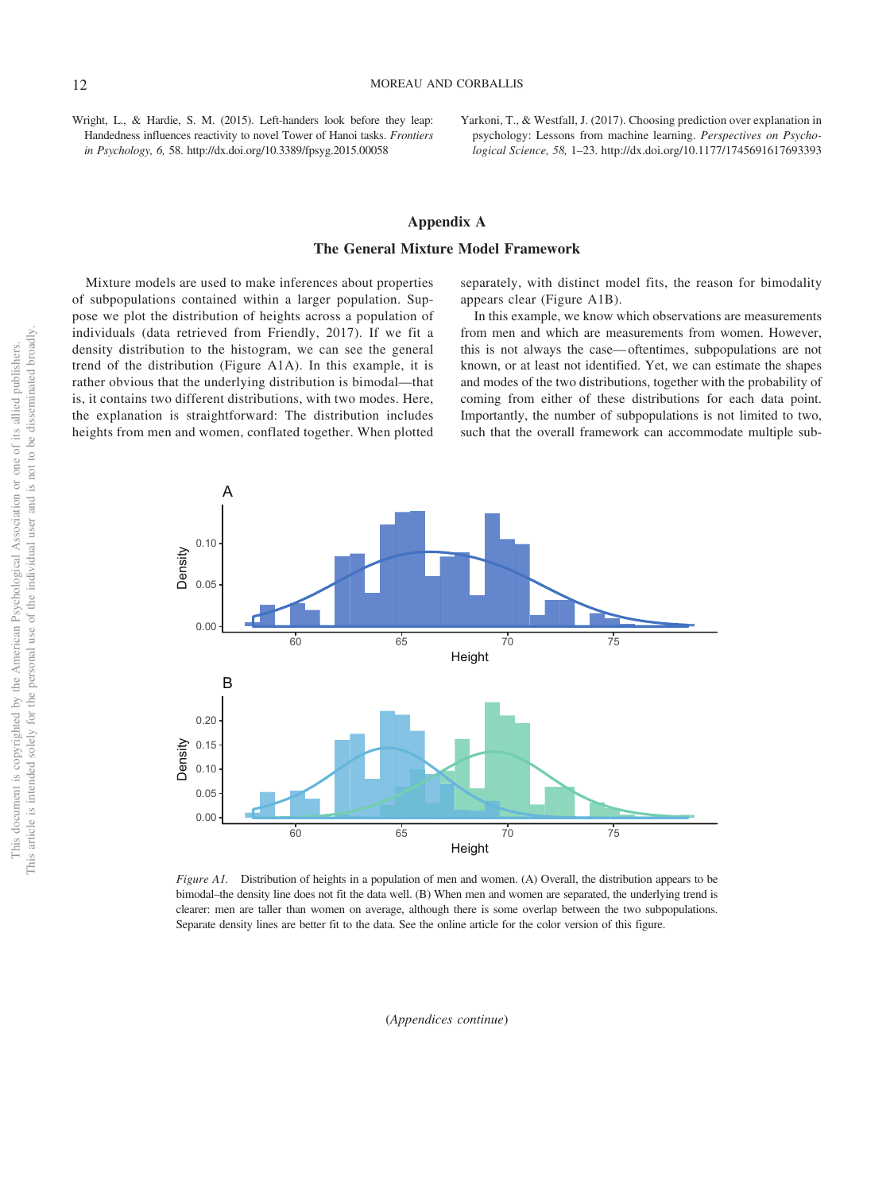Wright, L., & Hardie, S. M. (2015). Left-handers look before they leap: Handedness influences reactivity to novel Tower of Hanoi tasks. *Frontiers in Psychology, 6,* 58.<http://dx.doi.org/10.3389/fpsyg.2015.00058>

Yarkoni, T., & Westfall, J. (2017). Choosing prediction over explanation in psychology: Lessons from machine learning. *Perspectives on Psychological Science, 58,* 1–23.<http://dx.doi.org/10.1177/1745691617693393>

## **Appendix A The General Mixture Model Framework**

Mixture models are used to make inferences about properties of subpopulations contained within a larger population. Suppose we plot the distribution of heights across a population of separately, with distinct model fits, the reason for bimodality appears clear (Figure A1B).

individuals (data retrieved from Friendly, 2017). If we fit a density distribution to the histogram, we can see the general trend of the distribution (Figure A1A). In this example, it is rather obvious that the underlying distribution is bimodal—that is, it contains two different distributions, with two modes. Here, the explanation is straightforward: The distribution includes heights from men and women, conflated together. When plotted

In this example, we know which observations are measurements from men and which are measurements from women. However, this is not always the case— oftentimes, subpopulations are not known, or at least not identified. Yet, we can estimate the shapes

and modes of the two distributions, together with the probability of coming from either of these distributions for each data point. Importantly, the number of subpopulations is not limited to two, such that the overall framework can accommodate multiple sub-



*Figure A1.* Distribution of heights in a population of men and women. (A) Overall, the distribution appears to be bimodal–the density line does not fit the data well. (B) When men and women are separated, the underlying trend is clearer: men are taller than women on average, although there is some overlap between the two subpopulations. Separate density lines are better fit to the data. See the online article for the color version of this figure.

(*Appendices continue*)